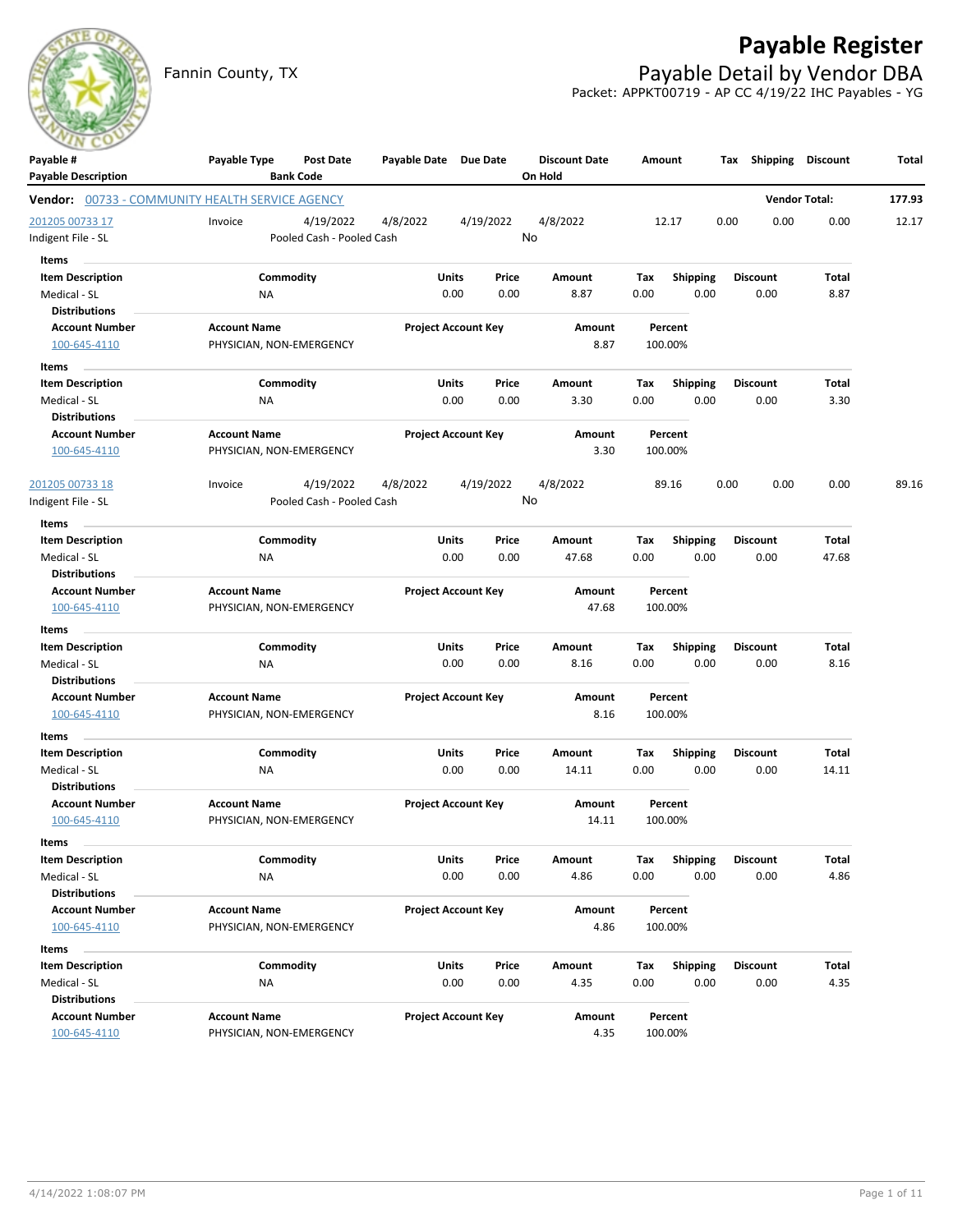

## **Payable Register**

Fannin County, TX **Payable Detail by Vendor DBA** Packet: APPKT00719 - AP CC 4/19/22 IHC Payables - YG

| Payable #                                              | Payable Type                                    | Post Date                 | Payable Date Due Date |                            | <b>Discount Date</b> |             | Amount             | Tax             |                      | <b>Shipping Discount</b> | Total  |
|--------------------------------------------------------|-------------------------------------------------|---------------------------|-----------------------|----------------------------|----------------------|-------------|--------------------|-----------------|----------------------|--------------------------|--------|
| <b>Payable Description</b>                             |                                                 | <b>Bank Code</b>          |                       |                            | On Hold              |             |                    |                 |                      |                          |        |
| <b>Vendor:</b> 00733 - COMMUNITY HEALTH SERVICE AGENCY |                                                 |                           |                       |                            |                      |             |                    |                 | <b>Vendor Total:</b> |                          | 177.93 |
| 201205 00733 17                                        | Invoice                                         | 4/19/2022                 | 4/8/2022              | 4/19/2022                  | 4/8/2022             |             | 12.17              | 0.00            | 0.00                 | 0.00                     | 12.17  |
| ndigent File - SL                                      |                                                 | Pooled Cash - Pooled Cash |                       |                            | No                   |             |                    |                 |                      |                          |        |
| Items                                                  |                                                 |                           |                       |                            |                      |             |                    |                 |                      |                          |        |
| <b>Item Description</b>                                |                                                 | Commodity                 | Units                 | Price                      | Amount               | Tax         | <b>Shipping</b>    | Discount        |                      | Total                    |        |
| Medical - SL                                           | NA                                              |                           |                       | 0.00<br>0.00               | 8.87                 | 0.00        | 0.00               |                 | 0.00                 | 8.87                     |        |
| <b>Distributions</b>                                   |                                                 |                           |                       |                            |                      |             |                    |                 |                      |                          |        |
| <b>Account Number</b>                                  | <b>Account Name</b>                             |                           |                       | <b>Project Account Key</b> | Amount               |             | Percent            |                 |                      |                          |        |
| 100-645-4110                                           | PHYSICIAN, NON-EMERGENCY                        |                           |                       |                            | 8.87                 |             | 100.00%            |                 |                      |                          |        |
| Items                                                  |                                                 |                           |                       |                            |                      |             |                    |                 |                      |                          |        |
| Item Description                                       |                                                 | Commodity                 | Units                 | Price                      | Amount               | Tax         | <b>Shipping</b>    | <b>Discount</b> |                      | Total                    |        |
| Medical - SL<br><b>Distributions</b>                   | ΝA                                              |                           |                       | 0.00<br>0.00               | 3.30                 | 0.00        | 0.00               |                 | 0.00                 | 3.30                     |        |
| <b>Account Number</b>                                  | <b>Account Name</b>                             |                           |                       | <b>Project Account Key</b> | Amount               |             | Percent            |                 |                      |                          |        |
| 100-645-4110                                           | PHYSICIAN, NON-EMERGENCY                        |                           |                       |                            | 3.30                 |             | 100.00%            |                 |                      |                          |        |
|                                                        |                                                 |                           |                       |                            |                      |             |                    |                 |                      |                          |        |
| 201205 00733 18                                        | Invoice                                         | 4/19/2022                 | 4/8/2022              | 4/19/2022                  | 4/8/2022             |             | 89.16              | 0.00            | 0.00                 | 0.00                     | 89.16  |
| Indigent File - SL                                     |                                                 | Pooled Cash - Pooled Cash |                       |                            | No                   |             |                    |                 |                      |                          |        |
| Items                                                  |                                                 |                           |                       |                            |                      |             |                    |                 |                      |                          |        |
| <b>Item Description</b>                                |                                                 | Commodity                 | Units                 | Price                      | Amount               | Tax         | <b>Shipping</b>    | <b>Discount</b> |                      | Total                    |        |
| Medical - SL                                           | NA                                              |                           |                       | 0.00<br>0.00               | 47.68                | 0.00        | 0.00               |                 | 0.00                 | 47.68                    |        |
| <b>Distributions</b>                                   |                                                 |                           |                       |                            |                      |             |                    |                 |                      |                          |        |
| <b>Account Number</b>                                  | <b>Account Name</b>                             |                           |                       | <b>Project Account Key</b> | Amount               |             | Percent            |                 |                      |                          |        |
| 100-645-4110                                           | PHYSICIAN, NON-EMERGENCY                        |                           |                       |                            | 47.68                |             | 100.00%            |                 |                      |                          |        |
| Items                                                  |                                                 |                           |                       |                            |                      |             |                    |                 |                      |                          |        |
| <b>Item Description</b>                                |                                                 | Commodity                 | Units                 | Price                      | Amount               | Tax         | <b>Shipping</b>    | <b>Discount</b> |                      | Total                    |        |
| Medical - SL                                           | <b>NA</b>                                       |                           |                       | 0.00<br>0.00               | 8.16                 | 0.00        | 0.00               |                 | 0.00                 | 8.16                     |        |
| <b>Distributions</b>                                   |                                                 |                           |                       |                            |                      |             |                    |                 |                      |                          |        |
| <b>Account Number</b><br>100-645-4110                  | <b>Account Name</b><br>PHYSICIAN, NON-EMERGENCY |                           |                       | <b>Project Account Key</b> | Amount<br>8.16       |             | Percent<br>100.00% |                 |                      |                          |        |
|                                                        |                                                 |                           |                       |                            |                      |             |                    |                 |                      |                          |        |
| Items                                                  |                                                 |                           |                       |                            |                      |             |                    |                 |                      |                          |        |
| <b>Item Description</b><br>Medical - SL                | NA                                              | Commodity                 | Units                 | Price<br>0.00<br>0.00      | Amount<br>14.11      | Тах<br>0.00 | Shipping<br>0.00   | <b>Discount</b> | 0.00                 | Total<br>14.11           |        |
| <b>Distributions</b>                                   |                                                 |                           |                       |                            |                      |             |                    |                 |                      |                          |        |
| <b>Account Number</b>                                  | <b>Account Name</b>                             |                           |                       | <b>Project Account Key</b> | Amount               |             | Percent            |                 |                      |                          |        |
| 100-645-4110                                           | PHYSICIAN, NON-EMERGENCY                        |                           |                       |                            | 14.11                |             | 100.00%            |                 |                      |                          |        |
| Items                                                  |                                                 |                           |                       |                            |                      |             |                    |                 |                      |                          |        |
| Item Description                                       |                                                 | Commodity                 | Units                 | Price                      | Amount               | Tax         | Shipping           | Discount        |                      | <b>Total</b>             |        |
| Medical - SL                                           | NA                                              |                           |                       | 0.00<br>0.00               | 4.86                 | 0.00        | 0.00               |                 | 0.00                 | 4.86                     |        |
| <b>Distributions</b>                                   |                                                 |                           |                       |                            |                      |             |                    |                 |                      |                          |        |
| <b>Account Number</b>                                  | <b>Account Name</b>                             |                           |                       | <b>Project Account Key</b> | Amount               |             | Percent            |                 |                      |                          |        |
| 100-645-4110                                           | PHYSICIAN, NON-EMERGENCY                        |                           |                       |                            | 4.86                 |             | 100.00%            |                 |                      |                          |        |
| Items                                                  |                                                 |                           |                       |                            |                      |             |                    |                 |                      |                          |        |
| <b>Item Description</b>                                |                                                 | Commodity                 | Units                 | Price                      | Amount               | Tax         | Shipping           |                 | <b>Discount</b>      | Total                    |        |
| Medical - SL                                           | ΝA                                              |                           |                       | 0.00<br>0.00               | 4.35                 | 0.00        | 0.00               |                 | 0.00                 | 4.35                     |        |
| <b>Distributions</b>                                   |                                                 |                           |                       |                            |                      |             |                    |                 |                      |                          |        |
| <b>Account Number</b>                                  | <b>Account Name</b>                             |                           |                       | <b>Project Account Key</b> | Amount               |             | Percent            |                 |                      |                          |        |
| 100-645-4110                                           | PHYSICIAN, NON-EMERGENCY                        |                           |                       |                            | 4.35                 |             | 100.00%            |                 |                      |                          |        |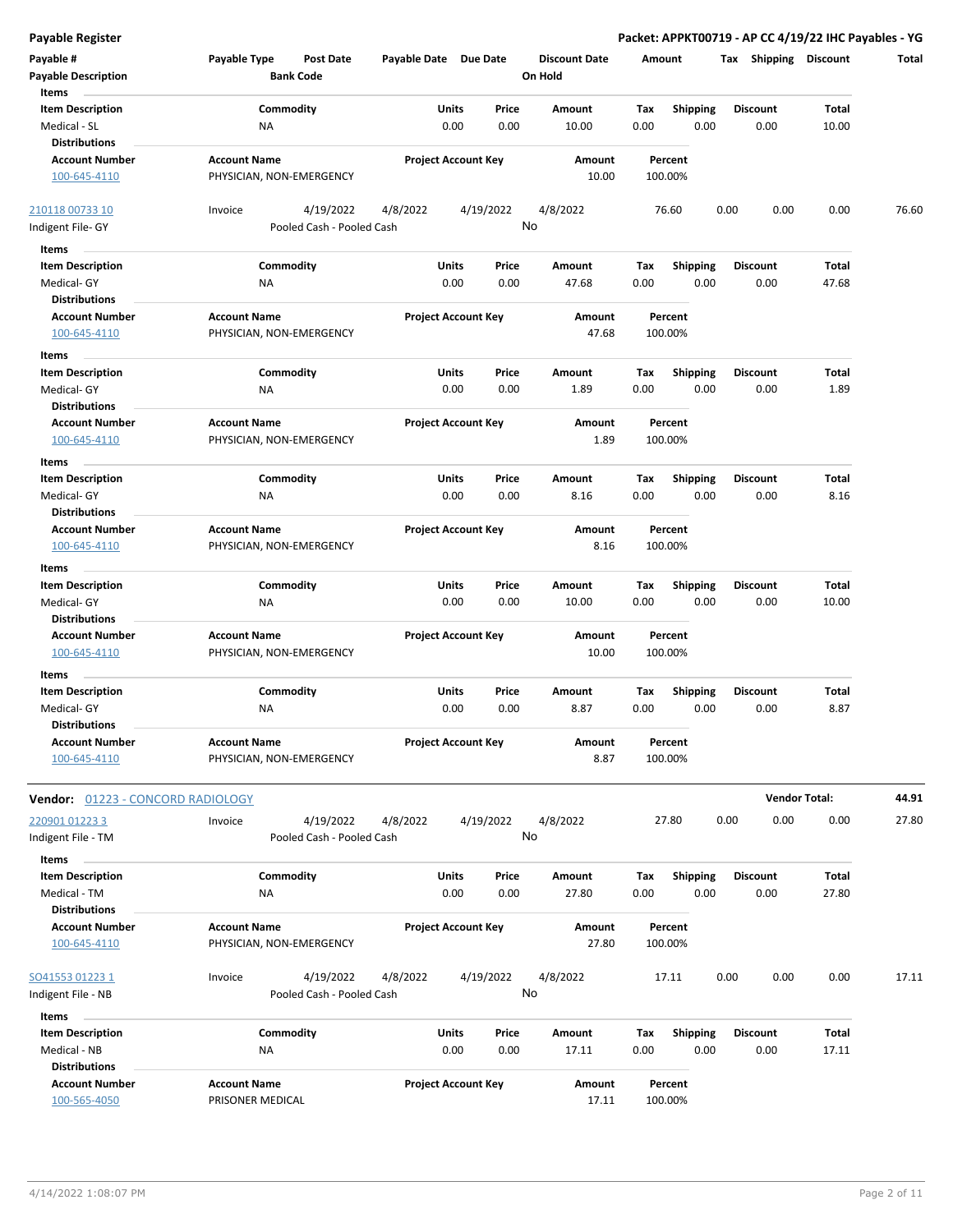| <b>Payable Register</b>           |                           |                  |                            |               |               |                      |             |                         |      |                         | Packet: APPKT00719 - AP CC 4/19/22 IHC Payables - YG |       |
|-----------------------------------|---------------------------|------------------|----------------------------|---------------|---------------|----------------------|-------------|-------------------------|------|-------------------------|------------------------------------------------------|-------|
| Payable #                         | Payable Type              | <b>Post Date</b> | Payable Date Due Date      |               |               | <b>Discount Date</b> | Amount      |                         |      | Tax Shipping Discount   |                                                      | Total |
| <b>Payable Description</b>        | <b>Bank Code</b>          |                  |                            |               |               | On Hold              |             |                         |      |                         |                                                      |       |
| Items                             |                           |                  |                            |               |               |                      |             |                         |      |                         |                                                      |       |
| <b>Item Description</b>           | Commodity                 |                  |                            | Units         | Price         | Amount               | Tax         | <b>Shipping</b>         |      | <b>Discount</b>         | Total                                                |       |
| Medical - SL                      | <b>NA</b>                 |                  |                            | 0.00          | 0.00          | 10.00                | 0.00        | 0.00                    |      | 0.00                    | 10.00                                                |       |
| <b>Distributions</b>              |                           |                  |                            |               |               |                      |             |                         |      |                         |                                                      |       |
| <b>Account Number</b>             | <b>Account Name</b>       |                  | <b>Project Account Key</b> |               |               | Amount<br>10.00      |             | Percent                 |      |                         |                                                      |       |
| 100-645-4110                      | PHYSICIAN, NON-EMERGENCY  |                  |                            |               |               |                      |             | 100.00%                 |      |                         |                                                      |       |
| 210118 00733 10                   | Invoice                   | 4/19/2022        | 4/8/2022                   |               | 4/19/2022     | 4/8/2022             |             | 76.60                   | 0.00 | 0.00                    | 0.00                                                 | 76.60 |
| Indigent File- GY                 | Pooled Cash - Pooled Cash |                  |                            |               | No            |                      |             |                         |      |                         |                                                      |       |
| Items                             |                           |                  |                            |               |               |                      |             |                         |      |                         |                                                      |       |
| <b>Item Description</b>           |                           |                  |                            |               |               |                      |             |                         |      |                         |                                                      |       |
| Medical- GY                       | Commodity<br>ΝA           |                  |                            | Units<br>0.00 | Price<br>0.00 | Amount<br>47.68      | Tax<br>0.00 | <b>Shipping</b><br>0.00 |      | <b>Discount</b><br>0.00 | Total<br>47.68                                       |       |
| <b>Distributions</b>              |                           |                  |                            |               |               |                      |             |                         |      |                         |                                                      |       |
| <b>Account Number</b>             | <b>Account Name</b>       |                  | <b>Project Account Key</b> |               |               | Amount               |             | Percent                 |      |                         |                                                      |       |
| 100-645-4110                      | PHYSICIAN, NON-EMERGENCY  |                  |                            |               |               | 47.68                |             | 100.00%                 |      |                         |                                                      |       |
| Items                             |                           |                  |                            |               |               |                      |             |                         |      |                         |                                                      |       |
| <b>Item Description</b>           | Commodity                 |                  |                            | Units         | Price         | Amount               | Tax         | Shipping                |      | <b>Discount</b>         | Total                                                |       |
| Medical- GY                       | ΝA                        |                  |                            | 0.00          | 0.00          | 1.89                 | 0.00        | 0.00                    |      | 0.00                    | 1.89                                                 |       |
| <b>Distributions</b>              |                           |                  |                            |               |               |                      |             |                         |      |                         |                                                      |       |
| <b>Account Number</b>             | <b>Account Name</b>       |                  | <b>Project Account Key</b> |               |               | Amount               |             | Percent                 |      |                         |                                                      |       |
| 100-645-4110                      | PHYSICIAN, NON-EMERGENCY  |                  |                            |               |               | 1.89                 |             | 100.00%                 |      |                         |                                                      |       |
| Items                             |                           |                  |                            |               |               |                      |             |                         |      |                         |                                                      |       |
| <b>Item Description</b>           | Commodity                 |                  |                            | Units         | Price         | Amount               | Tax         | <b>Shipping</b>         |      | <b>Discount</b>         | Total                                                |       |
| Medical- GY                       | NA                        |                  |                            | 0.00          | 0.00          | 8.16                 | 0.00        | 0.00                    |      | 0.00                    | 8.16                                                 |       |
| <b>Distributions</b>              |                           |                  |                            |               |               |                      |             |                         |      |                         |                                                      |       |
| <b>Account Number</b>             | <b>Account Name</b>       |                  | <b>Project Account Key</b> |               |               | Amount               |             | Percent                 |      |                         |                                                      |       |
| 100-645-4110                      | PHYSICIAN, NON-EMERGENCY  |                  |                            |               |               | 8.16                 |             | 100.00%                 |      |                         |                                                      |       |
| Items                             |                           |                  |                            |               |               |                      |             |                         |      |                         |                                                      |       |
| <b>Item Description</b>           | Commodity                 |                  |                            | Units         | Price         | Amount               | Tax         | <b>Shipping</b>         |      | <b>Discount</b>         | Total                                                |       |
| Medical- GY                       | NA                        |                  |                            | 0.00          | 0.00          | 10.00                | 0.00        | 0.00                    |      | 0.00                    | 10.00                                                |       |
| <b>Distributions</b>              |                           |                  |                            |               |               |                      |             |                         |      |                         |                                                      |       |
| <b>Account Number</b>             | <b>Account Name</b>       |                  | <b>Project Account Key</b> |               |               | Amount               |             | Percent                 |      |                         |                                                      |       |
| 100-645-4110                      | PHYSICIAN, NON-EMERGENCY  |                  |                            |               |               | 10.00                |             | 100.00%                 |      |                         |                                                      |       |
| Items                             |                           |                  |                            |               |               |                      |             |                         |      |                         |                                                      |       |
| <b>Item Description</b>           | Commodity                 |                  |                            | Units         | Price         | Amount               | Tax         | <b>Shipping</b>         |      | <b>Discount</b>         | Total                                                |       |
| Medical- GY                       | NA                        |                  |                            | 0.00          | 0.00          | 8.87                 | 0.00        | 0.00                    |      | 0.00                    | 8.87                                                 |       |
| <b>Distributions</b>              |                           |                  |                            |               |               |                      |             |                         |      |                         |                                                      |       |
| <b>Account Number</b>             | <b>Account Name</b>       |                  | <b>Project Account Key</b> |               |               | Amount               |             | Percent                 |      |                         |                                                      |       |
| 100-645-4110                      | PHYSICIAN, NON-EMERGENCY  |                  |                            |               |               | 8.87                 |             | 100.00%                 |      |                         |                                                      |       |
|                                   |                           |                  |                            |               |               |                      |             |                         |      |                         |                                                      |       |
| Vendor: 01223 - CONCORD RADIOLOGY |                           |                  |                            |               |               |                      |             |                         |      |                         | <b>Vendor Total:</b>                                 | 44.91 |
| 220901 01223 3                    | Invoice                   | 4/19/2022        | 4/8/2022                   |               | 4/19/2022     | 4/8/2022             |             | 27.80                   | 0.00 | 0.00                    | 0.00                                                 | 27.80 |
| Indigent File - TM                | Pooled Cash - Pooled Cash |                  |                            |               | No            |                      |             |                         |      |                         |                                                      |       |
| Items                             |                           |                  |                            |               |               |                      |             |                         |      |                         |                                                      |       |
| <b>Item Description</b>           | Commodity                 |                  |                            | Units         | Price         | Amount               | Tax         | <b>Shipping</b>         |      | <b>Discount</b>         | Total                                                |       |
| Medical - TM                      | ΝA                        |                  |                            | 0.00          | 0.00          | 27.80                | 0.00        | 0.00                    |      | 0.00                    | 27.80                                                |       |
| <b>Distributions</b>              |                           |                  |                            |               |               |                      |             |                         |      |                         |                                                      |       |
| <b>Account Number</b>             | <b>Account Name</b>       |                  | <b>Project Account Key</b> |               |               | Amount               |             | Percent                 |      |                         |                                                      |       |
| 100-645-4110                      | PHYSICIAN, NON-EMERGENCY  |                  |                            |               |               | 27.80                |             | 100.00%                 |      |                         |                                                      |       |
| SO41553 01223 1                   | Invoice                   | 4/19/2022        | 4/8/2022                   |               | 4/19/2022     | 4/8/2022             |             | 17.11                   | 0.00 | 0.00                    | 0.00                                                 | 17.11 |
| Indigent File - NB                | Pooled Cash - Pooled Cash |                  |                            |               | No            |                      |             |                         |      |                         |                                                      |       |
|                                   |                           |                  |                            |               |               |                      |             |                         |      |                         |                                                      |       |
| Items<br><b>Item Description</b>  | Commodity                 |                  |                            | Units         | Price         | Amount               | Tax         | <b>Shipping</b>         |      | Discount                | Total                                                |       |
| Medical - NB                      | ΝA                        |                  |                            | 0.00          | 0.00          | 17.11                | 0.00        | 0.00                    |      | 0.00                    | 17.11                                                |       |
| <b>Distributions</b>              |                           |                  |                            |               |               |                      |             |                         |      |                         |                                                      |       |

**Account Number Account Name Project Account Key Amount**

100-565-4050 PRISONER MEDICAL 17.11 100.00%

**Percent**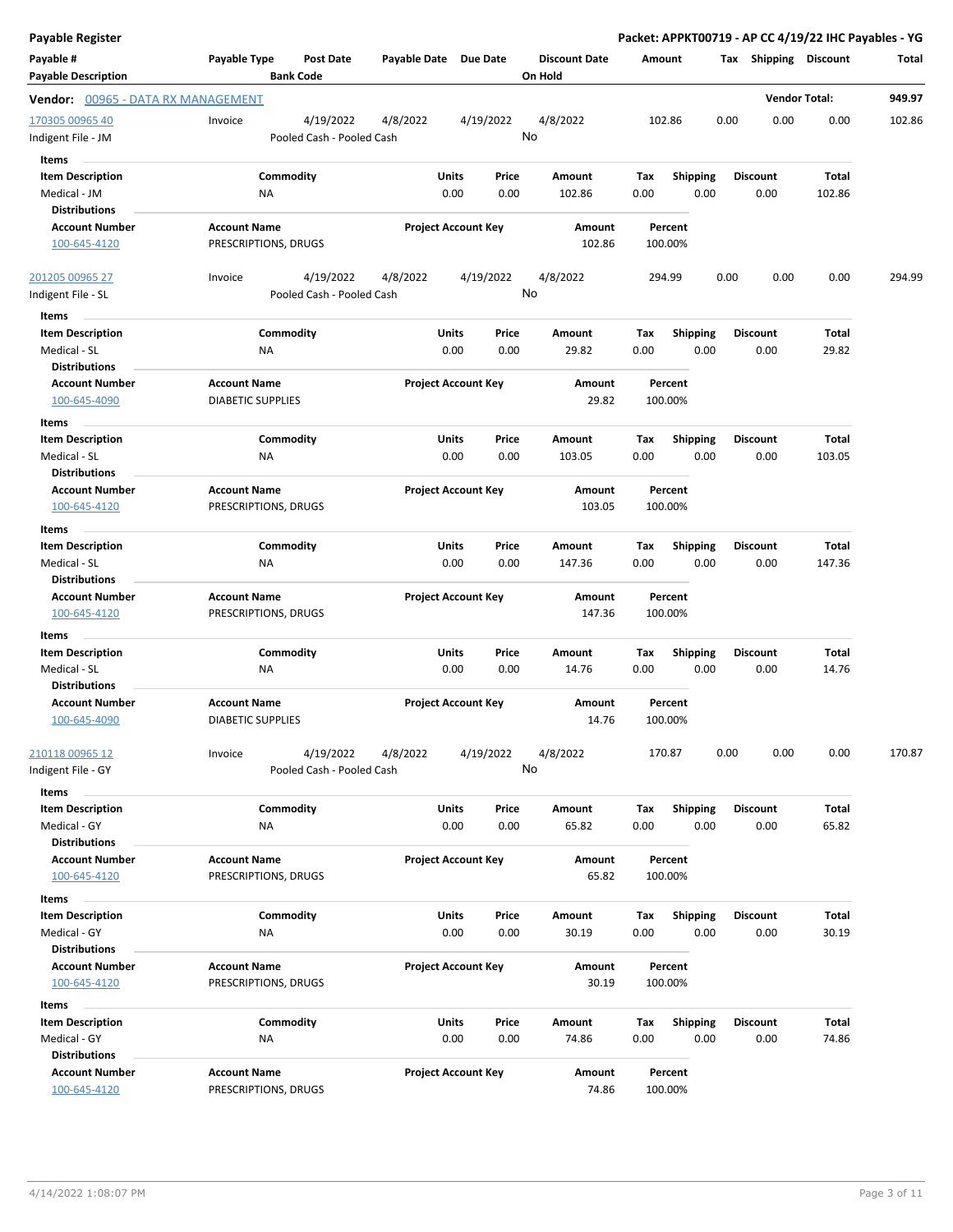| <b>Payable Register</b>                                         |                                                      |                       |                                       |                                 |             |                         | Packet: APPKT00719 - AP CC 4/19/22 IHC Payables - YG |                       |        |
|-----------------------------------------------------------------|------------------------------------------------------|-----------------------|---------------------------------------|---------------------------------|-------------|-------------------------|------------------------------------------------------|-----------------------|--------|
| Payable #<br><b>Payable Description</b>                         | Payable Type<br><b>Post Date</b><br><b>Bank Code</b> | Payable Date Due Date |                                       | <b>Discount Date</b><br>On Hold | Amount      |                         | Tax Shipping Discount                                |                       | Total  |
| Vendor: 00965 - DATA RX MANAGEMENT                              |                                                      |                       |                                       |                                 |             |                         |                                                      | <b>Vendor Total:</b>  | 949.97 |
| 170305 00965 40<br>Indigent File - JM                           | 4/19/2022<br>Invoice<br>Pooled Cash - Pooled Cash    | 4/8/2022              | 4/19/2022                             | 4/8/2022<br>No                  | 102.86      |                         | 0.00<br>0.00                                         | 0.00                  | 102.86 |
| Items                                                           |                                                      |                       |                                       |                                 |             |                         |                                                      |                       |        |
| <b>Item Description</b><br>Medical - JM<br><b>Distributions</b> | Commodity<br>ΝA                                      |                       | Units<br>Price<br>0.00<br>0.00        | Amount<br>102.86                | Tax<br>0.00 | <b>Shipping</b><br>0.00 | <b>Discount</b><br>0.00                              | Total<br>102.86       |        |
| <b>Account Number</b>                                           | Account Name                                         |                       | <b>Project Account Key</b>            | Amount                          |             | Percent                 |                                                      |                       |        |
| 100-645-4120                                                    | PRESCRIPTIONS, DRUGS                                 |                       |                                       | 102.86                          |             | 100.00%                 |                                                      |                       |        |
| 201205 00965 27<br>Indigent File - SL                           | 4/19/2022<br>Invoice<br>Pooled Cash - Pooled Cash    | 4/8/2022              | 4/19/2022                             | 4/8/2022<br>No                  | 294.99      |                         | 0.00<br>0.00                                         | 0.00                  | 294.99 |
| Items                                                           |                                                      |                       |                                       |                                 |             |                         |                                                      |                       |        |
| <b>Item Description</b><br>Medical - SL                         | Commodity<br><b>NA</b>                               |                       | <b>Units</b><br>Price<br>0.00<br>0.00 | Amount<br>29.82                 | Tax<br>0.00 | <b>Shipping</b><br>0.00 | <b>Discount</b><br>0.00                              | <b>Total</b><br>29.82 |        |
| <b>Distributions</b>                                            |                                                      |                       |                                       |                                 |             |                         |                                                      |                       |        |
| <b>Account Number</b><br>100-645-4090                           | <b>Account Name</b><br><b>DIABETIC SUPPLIES</b>      |                       | <b>Project Account Key</b>            | Amount<br>29.82                 |             | Percent<br>100.00%      |                                                      |                       |        |
| Items                                                           |                                                      |                       |                                       |                                 |             |                         |                                                      |                       |        |
| <b>Item Description</b>                                         | Commodity                                            |                       | Units<br>Price                        | Amount                          | Tax         | <b>Shipping</b>         | <b>Discount</b>                                      | Total                 |        |
| Medical - SL                                                    | NA                                                   |                       | 0.00<br>0.00                          | 103.05                          | 0.00        | 0.00                    | 0.00                                                 | 103.05                |        |
| <b>Distributions</b><br><b>Account Number</b>                   | <b>Account Name</b>                                  |                       | <b>Project Account Key</b>            | Amount                          |             | Percent                 |                                                      |                       |        |
| 100-645-4120                                                    | PRESCRIPTIONS, DRUGS                                 |                       |                                       | 103.05                          |             | 100.00%                 |                                                      |                       |        |
| Items                                                           |                                                      |                       |                                       |                                 |             |                         |                                                      |                       |        |
| <b>Item Description</b><br>Medical - SL<br><b>Distributions</b> | Commodity<br>ΝA                                      |                       | Units<br>Price<br>0.00<br>0.00        | Amount<br>147.36                | Tax<br>0.00 | <b>Shipping</b><br>0.00 | <b>Discount</b><br>0.00                              | Total<br>147.36       |        |
| <b>Account Number</b><br>100-645-4120                           | <b>Account Name</b><br>PRESCRIPTIONS, DRUGS          |                       | <b>Project Account Key</b>            | Amount<br>147.36                |             | Percent<br>100.00%      |                                                      |                       |        |
| Items                                                           |                                                      |                       |                                       |                                 |             |                         |                                                      |                       |        |
| <b>Item Description</b>                                         | Commodity                                            |                       | Units<br>Price                        | Amount                          | Tax         | Shipping                | <b>Discount</b>                                      | Total                 |        |
| Medical - SL                                                    | NA                                                   |                       | 0.00<br>0.00                          | 14.76                           | 0.00        | 0.00                    | 0.00                                                 | 14.76                 |        |
| <b>Distributions</b>                                            |                                                      |                       |                                       |                                 |             |                         |                                                      |                       |        |
| <b>Account Number</b><br>100-645-4090                           | <b>Account Name</b><br><b>DIABETIC SUPPLIES</b>      |                       | <b>Project Account Key</b>            | Amount<br>14.76                 |             | Percent<br>100.00%      |                                                      |                       |        |
| 210118 00965 12                                                 | 4/19/2022<br>Invoice                                 | 4/8/2022              | 4/19/2022                             | 4/8/2022                        | 170.87      |                         | 0.00<br>0.00                                         | 0.00                  | 170.87 |
| Indigent File - GY                                              | Pooled Cash - Pooled Cash                            |                       |                                       | No                              |             |                         |                                                      |                       |        |
| Items                                                           |                                                      |                       |                                       |                                 |             |                         |                                                      |                       |        |
| <b>Item Description</b><br>Medical - GY                         | Commodity<br><b>NA</b>                               |                       | Units<br>Price<br>0.00<br>0.00        | Amount<br>65.82                 | Tax<br>0.00 | <b>Shipping</b><br>0.00 | <b>Discount</b><br>0.00                              | <b>Total</b><br>65.82 |        |
| <b>Distributions</b>                                            |                                                      |                       |                                       |                                 |             |                         |                                                      |                       |        |
| <b>Account Number</b><br>100-645-4120                           | <b>Account Name</b><br>PRESCRIPTIONS, DRUGS          |                       | <b>Project Account Key</b>            | Amount<br>65.82                 |             | Percent<br>100.00%      |                                                      |                       |        |
|                                                                 |                                                      |                       |                                       |                                 |             |                         |                                                      |                       |        |
| Items<br><b>Item Description</b>                                | Commodity                                            |                       | Units<br>Price                        | Amount                          | Tax         | <b>Shipping</b>         | <b>Discount</b>                                      | Total                 |        |
| Medical - GY                                                    | NA                                                   |                       | 0.00<br>0.00                          | 30.19                           | 0.00        | 0.00                    | 0.00                                                 | 30.19                 |        |
| <b>Distributions</b>                                            |                                                      |                       |                                       |                                 |             |                         |                                                      |                       |        |
| <b>Account Number</b>                                           | <b>Account Name</b>                                  |                       | <b>Project Account Key</b>            | Amount                          |             | Percent                 |                                                      |                       |        |
| 100-645-4120                                                    | PRESCRIPTIONS, DRUGS                                 |                       |                                       | 30.19                           |             | 100.00%                 |                                                      |                       |        |
| Items                                                           |                                                      |                       |                                       |                                 |             |                         |                                                      |                       |        |
| <b>Item Description</b>                                         | Commodity                                            |                       | Units<br>Price                        | Amount                          | Tax         | <b>Shipping</b>         | <b>Discount</b>                                      | <b>Total</b>          |        |
| Medical - GY<br><b>Distributions</b>                            | ΝA                                                   |                       | 0.00<br>0.00                          | 74.86                           | 0.00        | 0.00                    | 0.00                                                 | 74.86                 |        |
| <b>Account Number</b>                                           | <b>Account Name</b>                                  |                       | <b>Project Account Key</b>            | Amount                          |             | Percent                 |                                                      |                       |        |
| 100-645-4120                                                    | PRESCRIPTIONS, DRUGS                                 |                       |                                       | 74.86                           | 100.00%     |                         |                                                      |                       |        |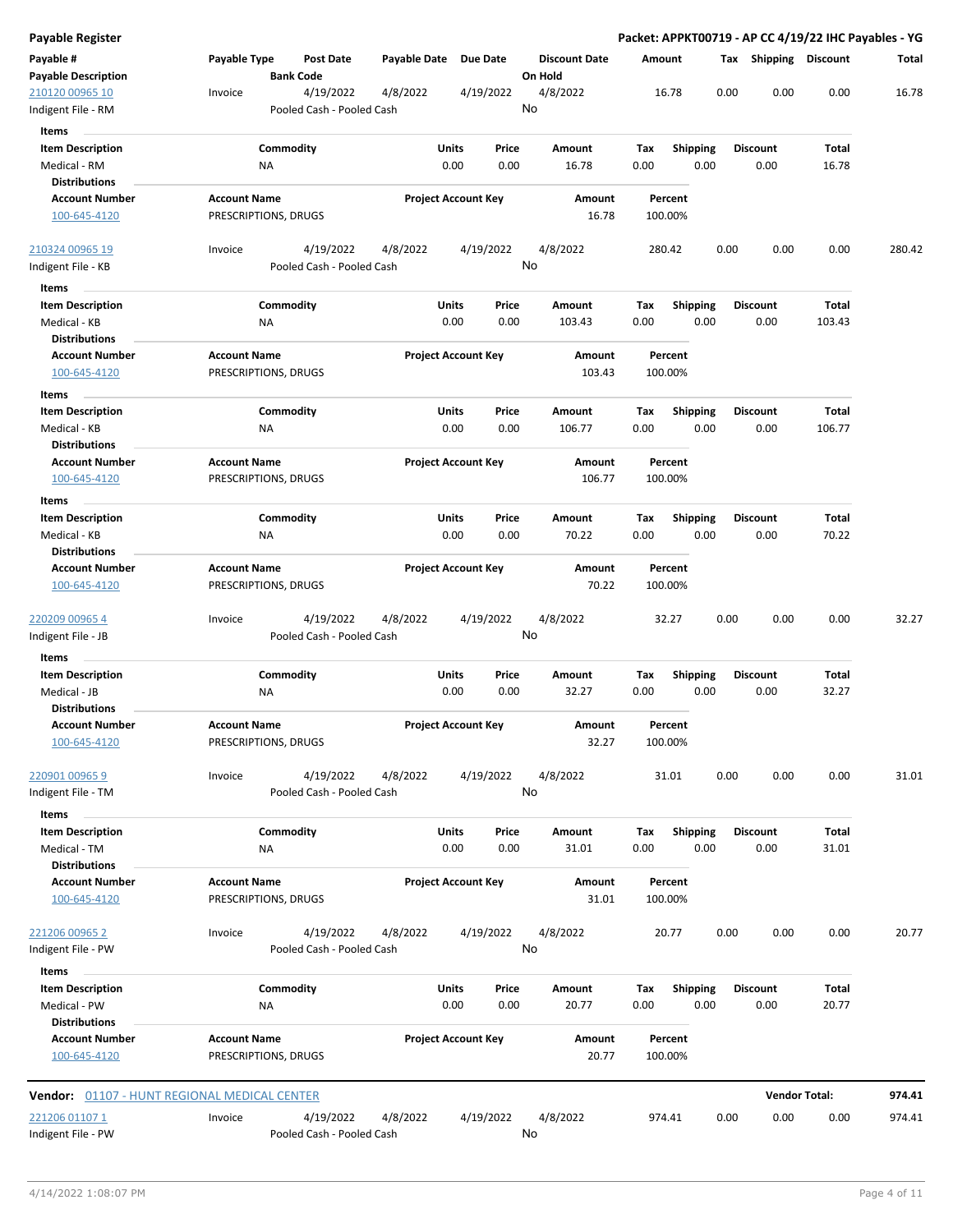| Payable Register                                                |                                                      |                            |               |                                 | Packet: APPKT00719 - AP CC 4/19/22 IHC Payables - YG |                         |                         |                      |        |
|-----------------------------------------------------------------|------------------------------------------------------|----------------------------|---------------|---------------------------------|------------------------------------------------------|-------------------------|-------------------------|----------------------|--------|
| Payable #<br><b>Payable Description</b>                         | Payable Type<br><b>Post Date</b><br><b>Bank Code</b> | Payable Date Due Date      |               | <b>Discount Date</b><br>On Hold | Amount                                               |                         | Tax Shipping Discount   |                      | Total  |
| 210120 00965 10<br>Indigent File - RM                           | 4/19/2022<br>Invoice<br>Pooled Cash - Pooled Cash    | 4/8/2022                   | 4/19/2022     | 4/8/2022<br>No                  | 16.78                                                | 0.00                    | 0.00                    | 0.00                 | 16.78  |
| <b>Items</b>                                                    |                                                      |                            |               |                                 |                                                      |                         |                         |                      |        |
| <b>Item Description</b><br>Medical - RM<br><b>Distributions</b> | Commodity<br>ΝA                                      | Units<br>0.00              | Price<br>0.00 | Amount<br>16.78                 | Tax<br>0.00                                          | <b>Shipping</b><br>0.00 | <b>Discount</b><br>0.00 | Total<br>16.78       |        |
| <b>Account Number</b><br>100-645-4120                           | <b>Account Name</b><br>PRESCRIPTIONS, DRUGS          | <b>Project Account Key</b> |               | Amount<br>16.78                 | Percent<br>100.00%                                   |                         |                         |                      |        |
| 210324 00965 19                                                 | 4/19/2022<br>Invoice                                 | 4/8/2022                   | 4/19/2022     | 4/8/2022<br>No                  | 280.42                                               | 0.00                    | 0.00                    | 0.00                 | 280.42 |
| Indigent File - KB                                              | Pooled Cash - Pooled Cash                            |                            |               |                                 |                                                      |                         |                         |                      |        |
| Items                                                           |                                                      |                            |               |                                 |                                                      |                         |                         |                      |        |
| <b>Item Description</b><br>Medical - KB                         | Commodity<br>NA                                      | Units<br>0.00              | Price<br>0.00 | Amount<br>103.43                | Tax<br>0.00                                          | <b>Shipping</b><br>0.00 | <b>Discount</b><br>0.00 | Total<br>103.43      |        |
| <b>Distributions</b>                                            |                                                      |                            |               |                                 |                                                      |                         |                         |                      |        |
| <b>Account Number</b><br>100-645-4120                           | <b>Account Name</b><br>PRESCRIPTIONS, DRUGS          | <b>Project Account Key</b> |               | Amount<br>103.43                | Percent<br>100.00%                                   |                         |                         |                      |        |
| Items                                                           |                                                      |                            |               |                                 |                                                      |                         |                         |                      |        |
| <b>Item Description</b><br>Medical - KB<br><b>Distributions</b> | Commodity<br><b>NA</b>                               | Units<br>0.00              | Price<br>0.00 | Amount<br>106.77                | Tax<br>0.00                                          | <b>Shipping</b><br>0.00 | <b>Discount</b><br>0.00 | Total<br>106.77      |        |
| <b>Account Number</b><br>100-645-4120                           | <b>Account Name</b><br>PRESCRIPTIONS, DRUGS          | <b>Project Account Key</b> |               | Amount<br>106.77                | Percent<br>100.00%                                   |                         |                         |                      |        |
| Items                                                           |                                                      |                            |               |                                 |                                                      |                         |                         |                      |        |
| <b>Item Description</b><br>Medical - KB                         | Commodity<br>ΝA                                      | Units<br>0.00              | Price<br>0.00 | Amount<br>70.22                 | Tax<br>0.00                                          | <b>Shipping</b><br>0.00 | <b>Discount</b><br>0.00 | Total<br>70.22       |        |
| <b>Distributions</b>                                            |                                                      |                            |               |                                 |                                                      |                         |                         |                      |        |
| <b>Account Number</b><br>100-645-4120                           | <b>Account Name</b><br>PRESCRIPTIONS, DRUGS          | <b>Project Account Key</b> |               | Amount<br>70.22                 | Percent<br>100.00%                                   |                         |                         |                      |        |
| 220209 00965 4<br>Indigent File - JB                            | 4/19/2022<br>Invoice<br>Pooled Cash - Pooled Cash    | 4/8/2022                   | 4/19/2022     | 4/8/2022<br>No                  | 32.27                                                | 0.00                    | 0.00                    | 0.00                 | 32.27  |
|                                                                 |                                                      |                            |               |                                 |                                                      |                         |                         |                      |        |
| Items<br><b>Item Description</b>                                | Commodity                                            | Units                      | Price         | Amount                          | Tax                                                  | Shipping                | <b>Discount</b>         | Total                |        |
| Medical - JB                                                    | ΝA                                                   | 0.00                       | 0.00          | 32.27                           | 0.00                                                 | 0.00                    | 0.00                    | 32.27                |        |
| <b>Distributions</b>                                            |                                                      |                            |               |                                 |                                                      |                         |                         |                      |        |
| <b>Account Number</b><br>100-645-4120                           | <b>Account Name</b><br>PRESCRIPTIONS, DRUGS          | <b>Project Account Key</b> |               | Amount<br>32.27                 | Percent<br>100.00%                                   |                         |                         |                      |        |
| 220901 00965 9<br>ndigent File - TM                             | 4/19/2022<br>Invoice<br>Pooled Cash - Pooled Cash    | 4/8/2022                   | 4/19/2022     | 4/8/2022<br>No                  | 31.01                                                | 0.00                    | 0.00                    | 0.00                 | 31.01  |
| Items                                                           |                                                      |                            |               |                                 |                                                      |                         |                         |                      |        |
| <b>Item Description</b><br>Medical - TM<br><b>Distributions</b> | Commodity<br><b>NA</b>                               | <b>Units</b><br>0.00       | Price<br>0.00 | Amount<br>31.01                 | Tax<br>0.00                                          | Shipping<br>0.00        | <b>Discount</b><br>0.00 | Total<br>31.01       |        |
| <b>Account Number</b><br>100-645-4120                           | <b>Account Name</b><br>PRESCRIPTIONS, DRUGS          | <b>Project Account Key</b> |               | Amount<br>31.01                 | Percent<br>100.00%                                   |                         |                         |                      |        |
| 221206 00965 2                                                  | 4/19/2022<br>Invoice                                 | 4/8/2022                   | 4/19/2022     | 4/8/2022                        | 20.77                                                | 0.00                    | 0.00                    | 0.00                 | 20.77  |
| Indigent File - PW                                              | Pooled Cash - Pooled Cash                            |                            |               | No                              |                                                      |                         |                         |                      |        |
| Items                                                           |                                                      |                            |               |                                 |                                                      |                         |                         |                      |        |
| <b>Item Description</b><br>Medical - PW                         | Commodity<br>ΝA                                      | Units<br>0.00              | Price<br>0.00 | Amount<br>20.77                 | Tax<br>0.00                                          | <b>Shipping</b><br>0.00 | <b>Discount</b><br>0.00 | Total<br>20.77       |        |
| <b>Distributions</b>                                            |                                                      |                            |               |                                 |                                                      |                         |                         |                      |        |
| <b>Account Number</b><br>100-645-4120                           | <b>Account Name</b><br>PRESCRIPTIONS, DRUGS          | <b>Project Account Key</b> |               | Amount<br>20.77                 | Percent<br>100.00%                                   |                         |                         |                      |        |
|                                                                 | <b>Vendor:</b> 01107 - HUNT REGIONAL MEDICAL CENTER  |                            |               |                                 |                                                      |                         |                         | <b>Vendor Total:</b> | 974.41 |
| 221206 01107 1                                                  | 4/19/2022<br>Invoice                                 | 4/8/2022                   | 4/19/2022     | 4/8/2022                        | 974.41                                               | 0.00                    | 0.00                    | 0.00                 | 974.41 |
| Indigent File - PW                                              | Pooled Cash - Pooled Cash                            |                            |               | No                              |                                                      |                         |                         |                      |        |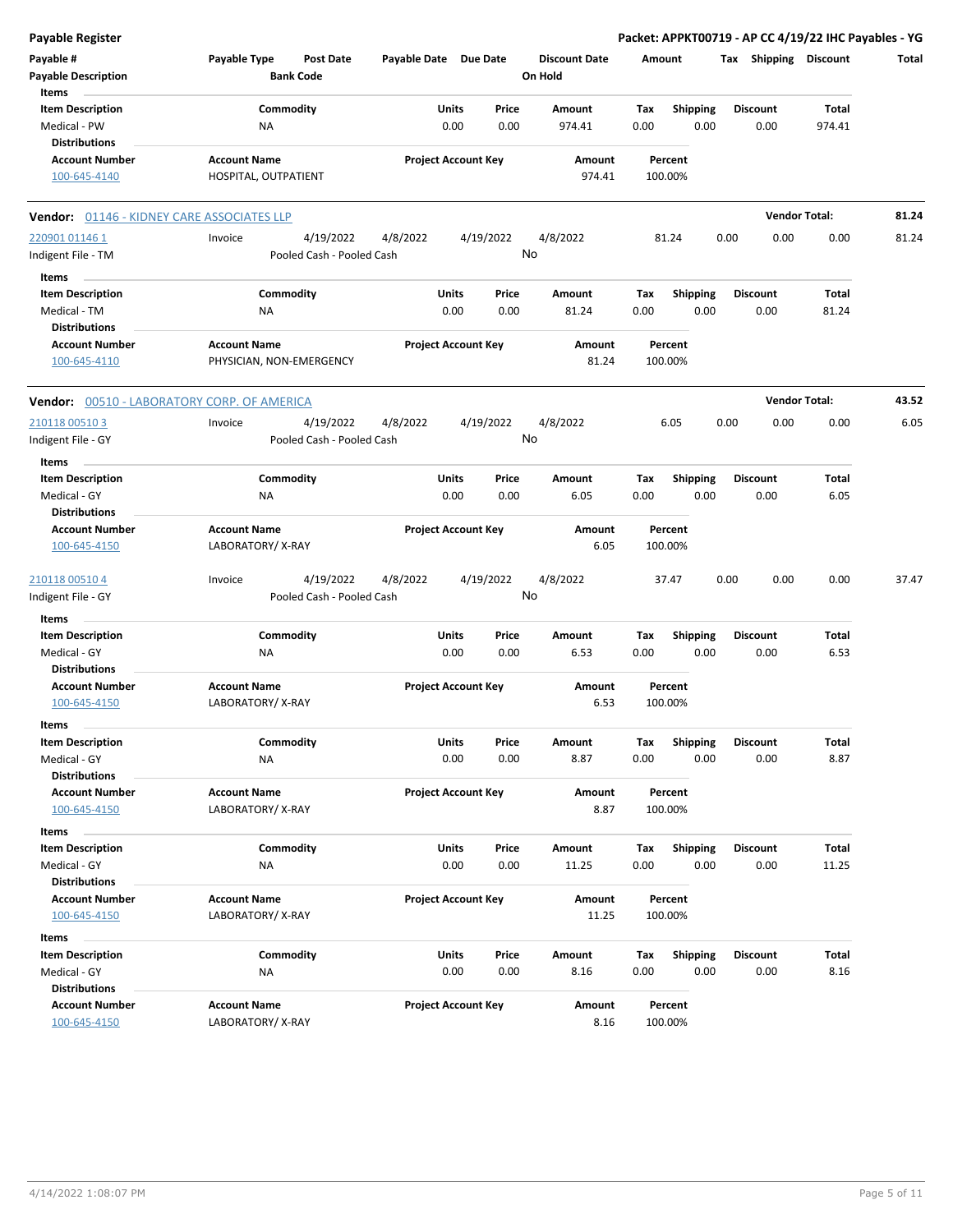| <b>Payable Register</b>                       |                                                      |                       |                            |                                 |             |                  | Packet: APPKT00719 - AP CC 4/19/22 IHC Payables - YG |                      |       |
|-----------------------------------------------|------------------------------------------------------|-----------------------|----------------------------|---------------------------------|-------------|------------------|------------------------------------------------------|----------------------|-------|
| Payable #<br><b>Payable Description</b>       | Payable Type<br><b>Post Date</b><br><b>Bank Code</b> | Payable Date Due Date |                            | <b>Discount Date</b><br>On Hold | Amount      |                  | Tax Shipping Discount                                |                      | Total |
| Items                                         | Commodity                                            |                       |                            | Amount                          |             |                  |                                                      |                      |       |
| <b>Item Description</b><br>Medical - PW       | <b>NA</b>                                            | Units                 | Price<br>0.00<br>0.00      | 974.41                          | Tax<br>0.00 | Shipping<br>0.00 | <b>Discount</b><br>0.00                              | Total<br>974.41      |       |
| <b>Distributions</b>                          |                                                      |                       |                            |                                 |             |                  |                                                      |                      |       |
| <b>Account Number</b>                         | <b>Account Name</b>                                  |                       | <b>Project Account Key</b> | Amount                          | Percent     |                  |                                                      |                      |       |
| 100-645-4140                                  | HOSPITAL, OUTPATIENT                                 |                       |                            | 974.41                          | 100.00%     |                  |                                                      |                      |       |
| Vendor: 01146 - KIDNEY CARE ASSOCIATES LLP    |                                                      |                       |                            |                                 |             |                  |                                                      | <b>Vendor Total:</b> | 81.24 |
| 220901 01146 1                                | 4/19/2022<br>Invoice                                 | 4/8/2022              | 4/19/2022                  | 4/8/2022                        | 81.24       |                  | 0.00<br>0.00                                         | 0.00                 | 81.24 |
| Indigent File - TM                            | Pooled Cash - Pooled Cash                            |                       |                            | No                              |             |                  |                                                      |                      |       |
| Items                                         |                                                      |                       |                            |                                 |             |                  |                                                      |                      |       |
| <b>Item Description</b>                       | Commodity                                            | Units                 | Price                      | Amount                          | Tax         | <b>Shipping</b>  | Discount                                             | Total                |       |
| Medical - TM                                  | ΝA                                                   |                       | 0.00<br>0.00               | 81.24                           | 0.00        | 0.00             | 0.00                                                 | 81.24                |       |
| <b>Distributions</b>                          |                                                      |                       |                            |                                 |             |                  |                                                      |                      |       |
| <b>Account Number</b>                         | <b>Account Name</b>                                  |                       | <b>Project Account Key</b> | Amount                          | Percent     |                  |                                                      |                      |       |
| 100-645-4110                                  | PHYSICIAN, NON-EMERGENCY                             |                       |                            | 81.24                           | 100.00%     |                  |                                                      |                      |       |
| Vendor: 00510 - LABORATORY CORP. OF AMERICA   |                                                      |                       |                            |                                 |             |                  |                                                      | <b>Vendor Total:</b> | 43.52 |
| 210118 00510 3                                | 4/19/2022<br>Invoice                                 | 4/8/2022              | 4/19/2022                  | 4/8/2022                        | 6.05        |                  | 0.00<br>0.00                                         | 0.00                 | 6.05  |
| Indigent File - GY                            | Pooled Cash - Pooled Cash                            |                       |                            | No                              |             |                  |                                                      |                      |       |
| Items                                         |                                                      |                       |                            |                                 |             |                  |                                                      |                      |       |
| <b>Item Description</b>                       | Commodity                                            | Units                 | Price                      | Amount                          | Tax         | <b>Shipping</b>  | Discount                                             | Total                |       |
| Medical - GY                                  | ΝA                                                   |                       | 0.00<br>0.00               | 6.05                            | 0.00        | 0.00             | 0.00                                                 | 6.05                 |       |
| <b>Distributions</b>                          |                                                      |                       |                            |                                 |             |                  |                                                      |                      |       |
| <b>Account Number</b>                         | <b>Account Name</b>                                  |                       | <b>Project Account Key</b> | Amount                          | Percent     |                  |                                                      |                      |       |
| 100-645-4150                                  | LABORATORY/X-RAY                                     |                       |                            | 6.05                            | 100.00%     |                  |                                                      |                      |       |
| 210118 00510 4                                | 4/19/2022<br>Invoice                                 | 4/8/2022              | 4/19/2022                  | 4/8/2022                        | 37.47       |                  | 0.00<br>0.00                                         | 0.00                 | 37.47 |
| Indigent File - GY                            | Pooled Cash - Pooled Cash                            |                       |                            | No                              |             |                  |                                                      |                      |       |
| Items                                         |                                                      |                       |                            |                                 |             |                  |                                                      |                      |       |
| <b>Item Description</b>                       | Commodity                                            | Units                 | Price                      | Amount                          | Tax         | <b>Shipping</b>  | Discount                                             | Total                |       |
| Medical - GY                                  | <b>NA</b>                                            |                       | 0.00<br>0.00               | 6.53                            | 0.00        | 0.00             | 0.00                                                 | 6.53                 |       |
| <b>Distributions</b>                          |                                                      |                       |                            |                                 |             |                  |                                                      |                      |       |
| <b>Account Number</b>                         | <b>Account Name</b>                                  |                       | <b>Project Account Key</b> | Amount                          | Percent     |                  |                                                      |                      |       |
| 100-645-4150                                  | LABORATORY/X-RAY                                     |                       |                            | 6.53                            | 100.00%     |                  |                                                      |                      |       |
| Items                                         |                                                      |                       |                            |                                 |             |                  |                                                      |                      |       |
| <b>Item Description</b>                       | Commodity                                            | Units                 | Price                      | Amount                          | Tax         | Shipping         | Discount                                             | Total                |       |
| Medical - GY                                  | NA                                                   |                       | 0.00<br>0.00               | 8.87                            | 0.00        | 0.00             | 0.00                                                 | 8.87                 |       |
| <b>Distributions</b>                          |                                                      |                       |                            |                                 |             |                  |                                                      |                      |       |
| <b>Account Number</b>                         | <b>Account Name</b>                                  |                       | <b>Project Account Key</b> | Amount                          | Percent     |                  |                                                      |                      |       |
| 100-645-4150                                  | LABORATORY/X-RAY                                     |                       |                            | 8.87                            | 100.00%     |                  |                                                      |                      |       |
| Items                                         |                                                      |                       |                            |                                 |             |                  |                                                      |                      |       |
| <b>Item Description</b>                       | Commodity                                            | <b>Units</b>          | Price                      | Amount                          | Tax         | Shipping         | Discount                                             | Total                |       |
| Medical - GY                                  | ΝA                                                   |                       | 0.00<br>0.00               | 11.25                           | 0.00        | 0.00             | 0.00                                                 | 11.25                |       |
| <b>Distributions</b>                          |                                                      |                       |                            |                                 |             |                  |                                                      |                      |       |
| <b>Account Number</b>                         | <b>Account Name</b>                                  |                       | <b>Project Account Key</b> | Amount                          | Percent     |                  |                                                      |                      |       |
| 100-645-4150                                  | LABORATORY/X-RAY                                     |                       |                            | 11.25                           | 100.00%     |                  |                                                      |                      |       |
| Items                                         |                                                      |                       |                            |                                 |             |                  |                                                      |                      |       |
| <b>Item Description</b>                       | Commodity                                            | <b>Units</b>          | Price                      | Amount                          | Tax         | Shipping         | Discount                                             | Total                |       |
| Medical - GY                                  | NA                                                   |                       | 0.00<br>0.00               | 8.16                            | 0.00        | 0.00             | 0.00                                                 | 8.16                 |       |
| <b>Distributions</b><br><b>Account Number</b> | <b>Account Name</b>                                  |                       | <b>Project Account Key</b> | Amount                          | Percent     |                  |                                                      |                      |       |
| 100-645-4150                                  | LABORATORY/X-RAY                                     |                       |                            | 8.16                            | 100.00%     |                  |                                                      |                      |       |
|                                               |                                                      |                       |                            |                                 |             |                  |                                                      |                      |       |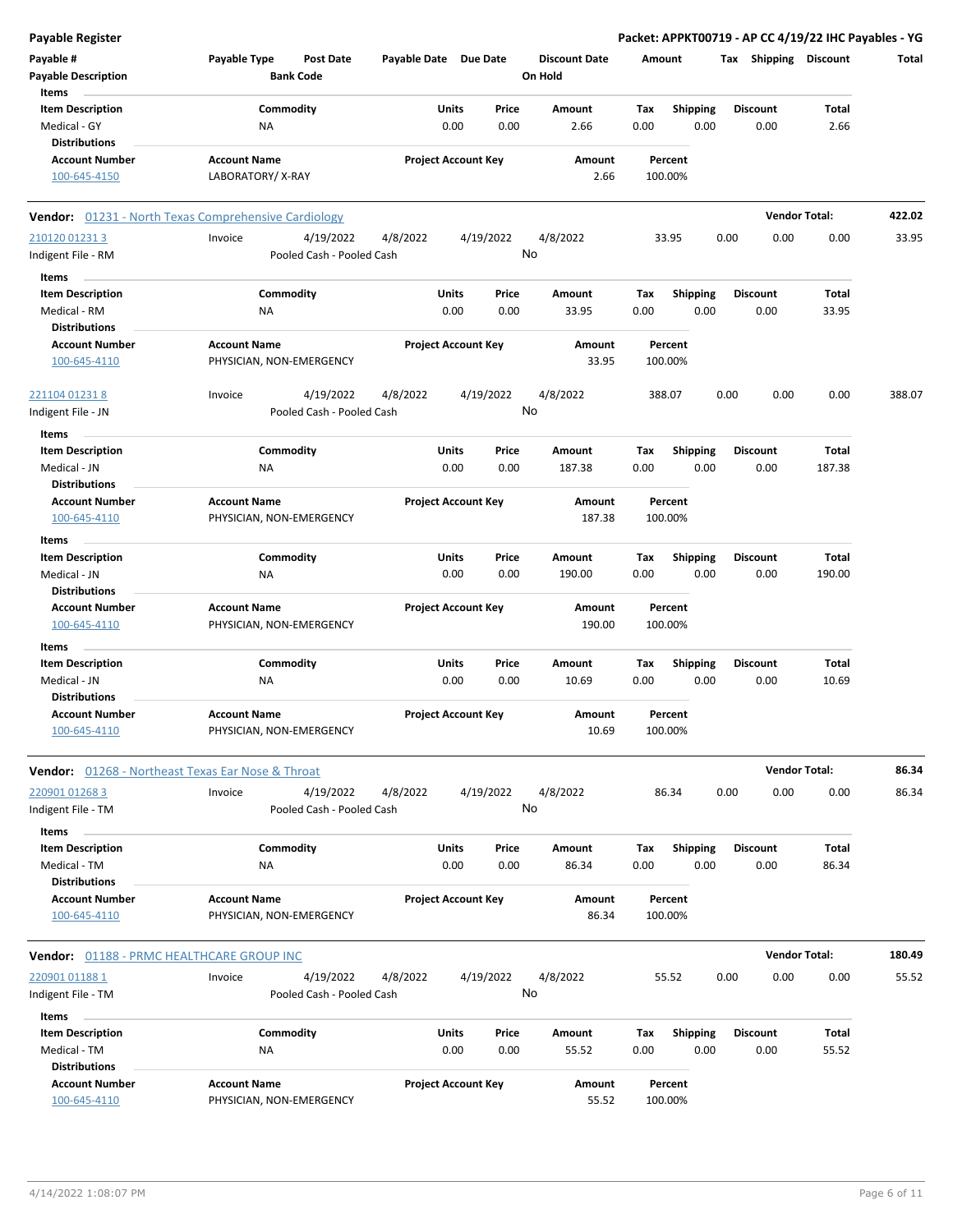| <b>Payable Register</b>                          |                                                      |                       |                            |                      |        |                 | Packet: APPKT00719 - AP CC 4/19/22 IHC Payables - YG |                      |        |
|--------------------------------------------------|------------------------------------------------------|-----------------------|----------------------------|----------------------|--------|-----------------|------------------------------------------------------|----------------------|--------|
| Payable #                                        | Payable Type<br><b>Post Date</b>                     | Payable Date Due Date |                            | <b>Discount Date</b> | Amount |                 | Tax Shipping Discount                                |                      | Total  |
| <b>Payable Description</b>                       | <b>Bank Code</b>                                     |                       |                            | On Hold              |        |                 |                                                      |                      |        |
| Items                                            |                                                      |                       |                            |                      |        |                 |                                                      |                      |        |
| <b>Item Description</b>                          | Commodity                                            | Units                 | Price                      | <b>Amount</b>        | Tax    | Shipping        | <b>Discount</b>                                      | Total                |        |
| Medical - GY                                     | ΝA                                                   | 0.00                  | 0.00                       | 2.66                 | 0.00   | 0.00            | 0.00                                                 | 2.66                 |        |
| <b>Distributions</b>                             |                                                      |                       |                            |                      |        |                 |                                                      |                      |        |
| <b>Account Number</b>                            | <b>Account Name</b>                                  |                       | <b>Project Account Key</b> | Amount               |        | Percent         |                                                      |                      |        |
| 100-645-4150                                     | LABORATORY/X-RAY                                     |                       |                            | 2.66                 |        | 100.00%         |                                                      |                      |        |
|                                                  | Vendor: 01231 - North Texas Comprehensive Cardiology |                       |                            |                      |        |                 |                                                      | <b>Vendor Total:</b> | 422.02 |
| 210120 01231 3                                   | Invoice<br>4/19/2022                                 | 4/8/2022              | 4/19/2022                  | 4/8/2022             |        | 33.95           | 0.00<br>0.00                                         | 0.00                 | 33.95  |
| Indigent File - RM                               | Pooled Cash - Pooled Cash                            |                       |                            | No                   |        |                 |                                                      |                      |        |
| Items                                            |                                                      |                       |                            |                      |        |                 |                                                      |                      |        |
| <b>Item Description</b>                          | Commodity                                            | Units                 | Price                      | Amount               | Tax    | <b>Shipping</b> | <b>Discount</b>                                      | Total                |        |
| Medical - RM                                     | ΝA                                                   | 0.00                  | 0.00                       | 33.95                | 0.00   | 0.00            | 0.00                                                 | 33.95                |        |
| <b>Distributions</b>                             |                                                      |                       |                            |                      |        |                 |                                                      |                      |        |
| <b>Account Number</b>                            | <b>Account Name</b>                                  |                       | <b>Project Account Key</b> | Amount               |        | Percent         |                                                      |                      |        |
| 100-645-4110                                     | PHYSICIAN, NON-EMERGENCY                             |                       |                            | 33.95                |        | 100.00%         |                                                      |                      |        |
| 221104 01231 8                                   | 4/19/2022<br>Invoice                                 | 4/8/2022              | 4/19/2022                  | 4/8/2022             |        | 388.07          | 0.00<br>0.00                                         | 0.00                 | 388.07 |
| Indigent File - JN                               | Pooled Cash - Pooled Cash                            |                       |                            | No                   |        |                 |                                                      |                      |        |
| Items                                            |                                                      |                       |                            |                      |        |                 |                                                      |                      |        |
| <b>Item Description</b>                          | Commodity                                            | Units                 | Price                      | Amount               | Tax    | <b>Shipping</b> | <b>Discount</b>                                      | <b>Total</b>         |        |
| Medical - JN                                     | ΝA                                                   | 0.00                  | 0.00                       | 187.38               | 0.00   | 0.00            | 0.00                                                 | 187.38               |        |
| <b>Distributions</b>                             |                                                      |                       |                            |                      |        |                 |                                                      |                      |        |
| <b>Account Number</b>                            | <b>Account Name</b>                                  |                       | <b>Project Account Key</b> | Amount               |        | Percent         |                                                      |                      |        |
| 100-645-4110                                     | PHYSICIAN, NON-EMERGENCY                             |                       |                            | 187.38               |        | 100.00%         |                                                      |                      |        |
| Items                                            |                                                      |                       |                            |                      |        |                 |                                                      |                      |        |
| <b>Item Description</b>                          | Commodity                                            | Units                 | Price                      | Amount               | Tax    | <b>Shipping</b> | <b>Discount</b>                                      | Total                |        |
| Medical - JN                                     | ΝA                                                   | 0.00                  | 0.00                       | 190.00               | 0.00   | 0.00            | 0.00                                                 | 190.00               |        |
| <b>Distributions</b>                             |                                                      |                       |                            |                      |        |                 |                                                      |                      |        |
| <b>Account Number</b>                            | <b>Account Name</b>                                  |                       | <b>Project Account Key</b> | Amount               |        | Percent         |                                                      |                      |        |
| 100-645-4110                                     | PHYSICIAN, NON-EMERGENCY                             |                       |                            | 190.00               |        | 100.00%         |                                                      |                      |        |
| Items                                            |                                                      |                       |                            |                      |        |                 |                                                      |                      |        |
| <b>Item Description</b>                          | Commodity                                            | Units                 | Price                      | Amount               | Tax    | <b>Shipping</b> | <b>Discount</b>                                      | Total                |        |
| Medical - JN                                     | ΝA                                                   | 0.00                  | 0.00                       | 10.69                | 0.00   | 0.00            | 0.00                                                 | 10.69                |        |
| <b>Distributions</b>                             |                                                      |                       |                            |                      |        |                 |                                                      |                      |        |
| <b>Account Number</b>                            | <b>Account Name</b>                                  |                       | <b>Project Account Key</b> | Amount               |        | Percent         |                                                      |                      |        |
| 100-645-4110                                     | PHYSICIAN, NON-EMERGENCY                             |                       |                            | 10.69                |        | 100.00%         |                                                      |                      |        |
|                                                  | Vendor: 01268 - Northeast Texas Ear Nose & Throat    |                       |                            |                      |        |                 |                                                      | <b>Vendor Total:</b> | 86.34  |
|                                                  |                                                      |                       |                            |                      |        |                 |                                                      |                      |        |
| 220901 01268 3                                   | Invoice<br>4/19/2022<br>Pooled Cash - Pooled Cash    | 4/8/2022              | 4/19/2022                  | 4/8/2022<br>No       |        | 86.34           | 0.00<br>0.00                                         | 0.00                 | 86.34  |
| Indigent File - TM                               |                                                      |                       |                            |                      |        |                 |                                                      |                      |        |
| Items                                            |                                                      |                       |                            |                      |        |                 |                                                      |                      |        |
| <b>Item Description</b>                          | Commodity                                            | Units                 | Price                      | Amount               | Tax    | <b>Shipping</b> | <b>Discount</b>                                      | Total                |        |
| Medical - TM                                     | ΝA                                                   | 0.00                  | 0.00                       | 86.34                | 0.00   | 0.00            | 0.00                                                 | 86.34                |        |
| <b>Distributions</b>                             |                                                      |                       |                            |                      |        |                 |                                                      |                      |        |
| <b>Account Number</b>                            | <b>Account Name</b>                                  |                       | <b>Project Account Key</b> | Amount               |        | Percent         |                                                      |                      |        |
| 100-645-4110                                     | PHYSICIAN, NON-EMERGENCY                             |                       |                            | 86.34                |        | 100.00%         |                                                      |                      |        |
| <b>Vendor: 01188 - PRMC HEALTHCARE GROUP INC</b> |                                                      |                       |                            |                      |        |                 |                                                      | <b>Vendor Total:</b> | 180.49 |
| 220901 01188 1                                   | 4/19/2022<br>Invoice                                 | 4/8/2022              | 4/19/2022                  | 4/8/2022             |        | 55.52           | 0.00<br>0.00                                         | 0.00                 | 55.52  |
| Indigent File - TM                               | Pooled Cash - Pooled Cash                            |                       |                            | No                   |        |                 |                                                      |                      |        |
| Items                                            |                                                      |                       |                            |                      |        |                 |                                                      |                      |        |
| <b>Item Description</b>                          | Commodity                                            | Units                 | Price                      | Amount               | Tax    | Shipping        | <b>Discount</b>                                      | Total                |        |
| Medical - TM                                     | ΝA                                                   | 0.00                  | 0.00                       | 55.52                | 0.00   | 0.00            | 0.00                                                 | 55.52                |        |
| <b>Distributions</b>                             |                                                      |                       |                            |                      |        |                 |                                                      |                      |        |
| <b>Account Number</b>                            | <b>Account Name</b>                                  |                       | <b>Project Account Key</b> | Amount               |        | Percent         |                                                      |                      |        |
| 100-645-4110                                     | PHYSICIAN, NON-EMERGENCY                             |                       |                            | 55.52                |        | 100.00%         |                                                      |                      |        |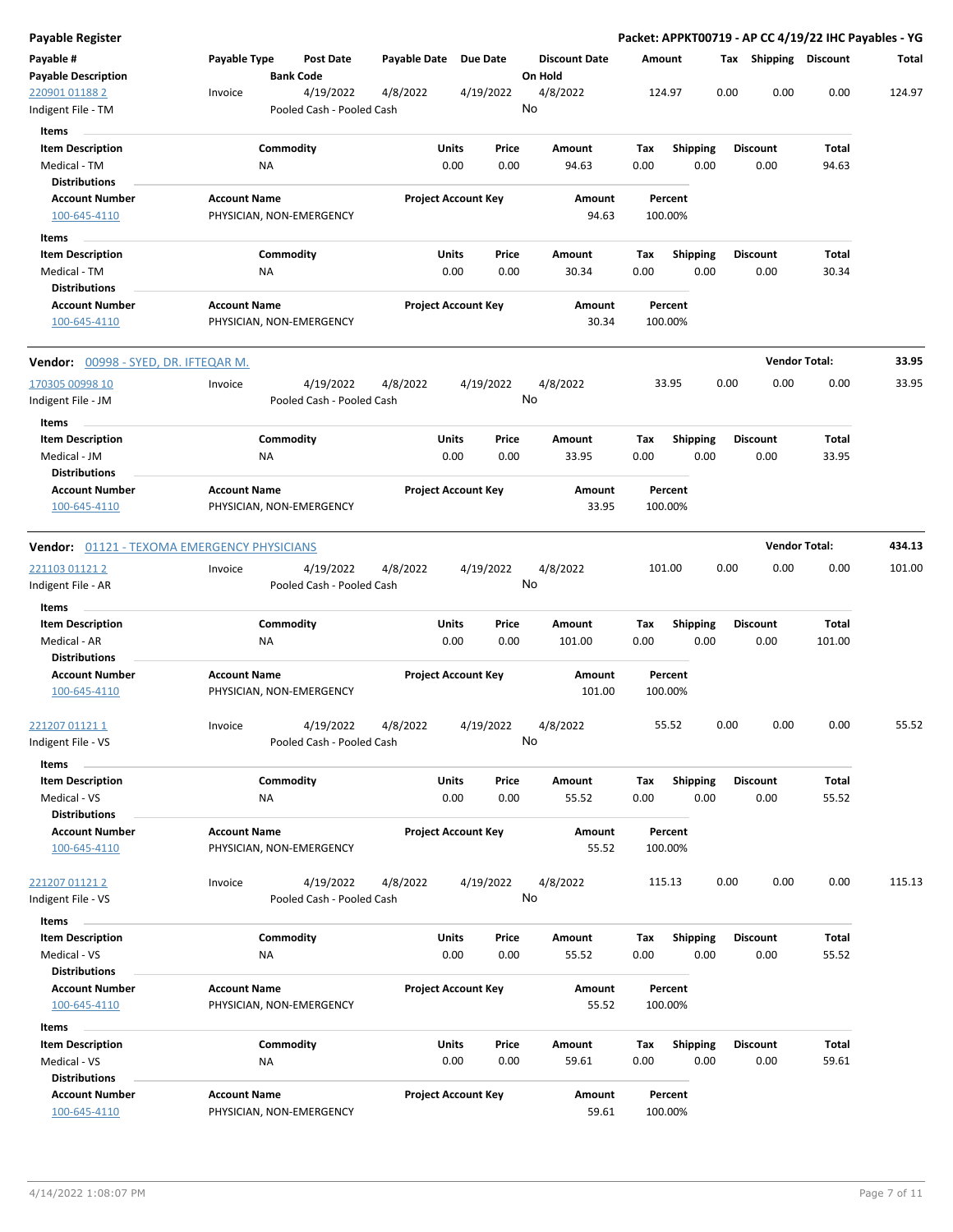| Payable Register                                   |                     |                                        |                       |                                |                                 |             |                         |      |                         | Packet: APPKT00719 - AP CC 4/19/22 IHC Payables - YG |        |
|----------------------------------------------------|---------------------|----------------------------------------|-----------------------|--------------------------------|---------------------------------|-------------|-------------------------|------|-------------------------|------------------------------------------------------|--------|
| Payable #<br><b>Payable Description</b>            | Payable Type        | <b>Post Date</b><br><b>Bank Code</b>   | Payable Date Due Date |                                | <b>Discount Date</b><br>On Hold |             | Amount                  |      | Tax Shipping Discount   |                                                      | Total  |
| 220901 01188 2<br>Indigent File - TM               | Invoice             | 4/19/2022<br>Pooled Cash - Pooled Cash | 4/8/2022              | 4/19/2022                      | 4/8/2022<br>No                  |             | 124.97                  | 0.00 | 0.00                    | 0.00                                                 | 124.97 |
| Items                                              |                     |                                        |                       |                                |                                 |             |                         |      |                         |                                                      |        |
| <b>Item Description</b><br>Medical - TM            |                     | Commodity<br>ΝA                        |                       | Units<br>Price<br>0.00<br>0.00 | Amount<br>94.63                 | Tax<br>0.00 | <b>Shipping</b><br>0.00 |      | <b>Discount</b><br>0.00 | Total<br>94.63                                       |        |
| Distributions                                      |                     |                                        |                       |                                |                                 |             |                         |      |                         |                                                      |        |
| <b>Account Number</b><br>100-645-4110              | <b>Account Name</b> | PHYSICIAN, NON-EMERGENCY               |                       | <b>Project Account Key</b>     | Amount<br>94.63                 |             | Percent<br>100.00%      |      |                         |                                                      |        |
|                                                    |                     |                                        |                       |                                |                                 |             |                         |      |                         |                                                      |        |
| Items<br><b>Item Description</b>                   |                     | Commodity                              |                       | Units<br>Price                 | Amount                          | Тах         | <b>Shipping</b>         |      | <b>Discount</b>         | Total                                                |        |
| Medical - TM                                       |                     | ΝA                                     |                       | 0.00<br>0.00                   | 30.34                           | 0.00        | 0.00                    |      | 0.00                    | 30.34                                                |        |
| <b>Distributions</b>                               |                     |                                        |                       |                                |                                 |             |                         |      |                         |                                                      |        |
| <b>Account Number</b><br>100-645-4110              | <b>Account Name</b> | PHYSICIAN, NON-EMERGENCY               |                       | <b>Project Account Key</b>     | Amount<br>30.34                 |             | Percent<br>100.00%      |      |                         |                                                      |        |
| <b>Vendor:</b> <u>00998 - SYED, DR. IFTEQAR M.</u> |                     |                                        |                       |                                |                                 |             |                         |      |                         | <b>Vendor Total:</b>                                 | 33.95  |
| 170305 00998 10                                    | Invoice             | 4/19/2022                              | 4/8/2022              | 4/19/2022                      | 4/8/2022                        |             | 33.95                   | 0.00 | 0.00                    | 0.00                                                 | 33.95  |
| Indigent File - JM                                 |                     | Pooled Cash - Pooled Cash              |                       |                                | No                              |             |                         |      |                         |                                                      |        |
| Items                                              |                     |                                        |                       |                                |                                 |             |                         |      |                         |                                                      |        |
| <b>Item Description</b>                            |                     | Commodity                              |                       | Units<br>Price                 | Amount                          | Tax         | <b>Shipping</b>         |      | <b>Discount</b>         | Total                                                |        |
| Medical - JM<br><b>Distributions</b>               |                     | ΝA                                     |                       | 0.00<br>0.00                   | 33.95                           | 0.00        | 0.00                    |      | 0.00                    | 33.95                                                |        |
| <b>Account Number</b><br>100-645-4110              | <b>Account Name</b> | PHYSICIAN, NON-EMERGENCY               |                       | <b>Project Account Key</b>     | Amount<br>33.95                 |             | Percent<br>100.00%      |      |                         |                                                      |        |
| Vendor: 01121 - TEXOMA EMERGENCY PHYSICIANS        |                     |                                        |                       |                                |                                 |             |                         |      |                         | <b>Vendor Total:</b>                                 | 434.13 |
| <u>221103 01121 2</u>                              | Invoice             | 4/19/2022                              | 4/8/2022              | 4/19/2022                      | 4/8/2022                        |             | 101.00                  | 0.00 | 0.00                    | 0.00                                                 | 101.00 |
| Indigent File - AR                                 |                     | Pooled Cash - Pooled Cash              |                       |                                | No                              |             |                         |      |                         |                                                      |        |
| Items                                              |                     |                                        |                       |                                |                                 |             |                         |      |                         |                                                      |        |
| <b>Item Description</b>                            |                     | Commodity                              |                       | Units<br>Price                 | Amount                          | Tax         | <b>Shipping</b>         |      | <b>Discount</b>         | Total                                                |        |
| Medical - AR<br>Distributions                      |                     | ΝA                                     |                       | 0.00<br>0.00                   | 101.00                          | 0.00        | 0.00                    |      | 0.00                    | 101.00                                               |        |
| <b>Account Number</b>                              | <b>Account Name</b> |                                        |                       | <b>Project Account Key</b>     | Amount                          |             | Percent                 |      |                         |                                                      |        |
| 100-645-4110                                       |                     | PHYSICIAN, NON-EMERGENCY               |                       |                                | 101.00                          |             | 100.00%                 |      |                         |                                                      |        |
| <u>221207 01121 1</u><br>Indigent File - VS        | Invoice             | 4/19/2022<br>Pooled Cash - Pooled Cash | 4/8/2022              | 4/19/2022                      | 4/8/2022<br>No                  |             | 55.52                   | 0.00 | 0.00                    | 0.00                                                 | 55.52  |
| Items                                              |                     |                                        |                       |                                |                                 |             |                         |      |                         |                                                      |        |
| <b>Item Description</b>                            |                     | Commodity                              |                       | Units<br>Price                 | Amount                          | Tax         | Shipping                |      | <b>Discount</b>         | Total                                                |        |
| Medical - VS                                       |                     | NA                                     |                       | 0.00<br>0.00                   | 55.52                           | 0.00        | 0.00                    |      | 0.00                    | 55.52                                                |        |
| <b>Distributions</b><br><b>Account Number</b>      | <b>Account Name</b> |                                        |                       | <b>Project Account Key</b>     | Amount                          |             | Percent                 |      |                         |                                                      |        |
| 100-645-4110                                       |                     | PHYSICIAN, NON-EMERGENCY               |                       |                                | 55.52                           |             | 100.00%                 |      |                         |                                                      |        |
| <u>221207 01121 2</u>                              | Invoice             | 4/19/2022                              | 4/8/2022              | 4/19/2022                      | 4/8/2022                        |             | 115.13                  | 0.00 | 0.00                    | 0.00                                                 | 115.13 |
| ndigent File - VS                                  |                     | Pooled Cash - Pooled Cash              |                       |                                | No                              |             |                         |      |                         |                                                      |        |
| Items                                              |                     |                                        |                       |                                |                                 |             |                         |      |                         |                                                      |        |
| <b>Item Description</b>                            |                     | Commodity                              |                       | Units<br>Price                 | Amount                          | Tax         | <b>Shipping</b>         |      | <b>Discount</b>         | Total                                                |        |
| Medical - VS                                       |                     | ΝA                                     |                       | 0.00<br>0.00                   | 55.52                           | 0.00        | 0.00                    |      | 0.00                    | 55.52                                                |        |
| <b>Distributions</b>                               |                     |                                        |                       |                                |                                 |             |                         |      |                         |                                                      |        |
| <b>Account Number</b>                              | <b>Account Name</b> |                                        |                       | <b>Project Account Key</b>     | Amount                          |             | Percent                 |      |                         |                                                      |        |
| 100-645-4110                                       |                     | PHYSICIAN, NON-EMERGENCY               |                       |                                | 55.52                           |             | 100.00%                 |      |                         |                                                      |        |
| Items<br><b>Item Description</b>                   |                     | Commodity                              |                       | Units<br>Price                 | Amount                          | Tax         | <b>Shipping</b>         |      | <b>Discount</b>         | Total                                                |        |
| Medical - VS                                       |                     | ΝA                                     |                       | 0.00<br>0.00                   | 59.61                           | 0.00        | 0.00                    |      | 0.00                    | 59.61                                                |        |
| <b>Distributions</b>                               |                     |                                        |                       |                                |                                 |             |                         |      |                         |                                                      |        |
| <b>Account Number</b>                              | <b>Account Name</b> |                                        |                       | <b>Project Account Key</b>     | Amount                          |             | Percent                 |      |                         |                                                      |        |
| 100-645-4110                                       |                     | PHYSICIAN, NON-EMERGENCY               |                       |                                | 59.61                           |             | 100.00%                 |      |                         |                                                      |        |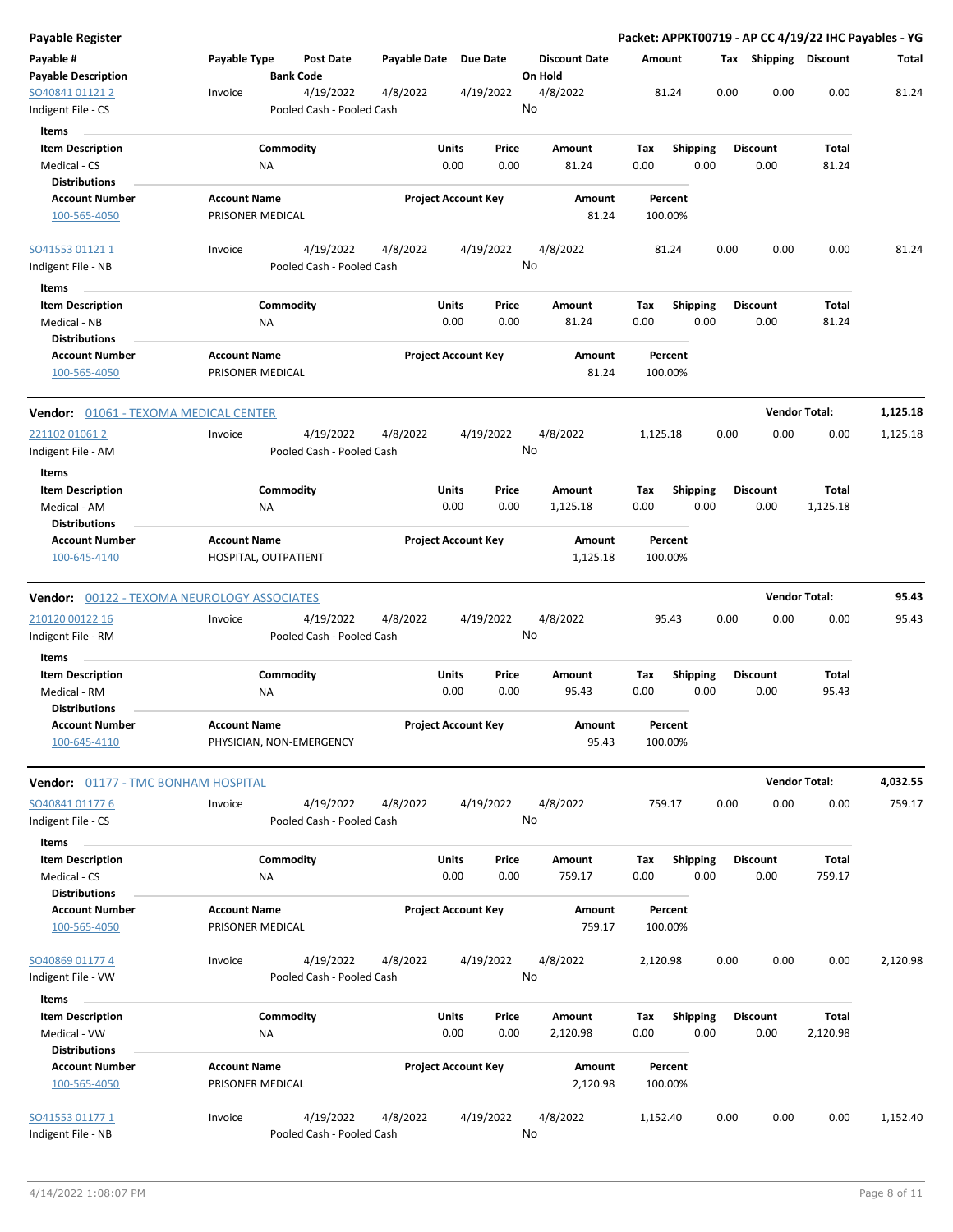| <b>Payable Register</b>                            |                                         |                           |                            |                                 | Packet: APPKT00719 - AP CC 4/19/22 IHC Payables - YG |                         |                         |      |                       |          |
|----------------------------------------------------|-----------------------------------------|---------------------------|----------------------------|---------------------------------|------------------------------------------------------|-------------------------|-------------------------|------|-----------------------|----------|
| Payable #<br><b>Payable Description</b>            | Payable Type<br><b>Bank Code</b>        | Post Date                 | Payable Date Due Date      | <b>Discount Date</b><br>On Hold | Amount                                               |                         |                         |      | Tax Shipping Discount | Total    |
| SO40841 01121 2                                    | Invoice                                 | 4/19/2022<br>4/8/2022     | 4/19/2022                  | 4/8/2022                        | 81.24                                                |                         | 0.00                    | 0.00 | 0.00                  | 81.24    |
| Indigent File - CS                                 |                                         | Pooled Cash - Pooled Cash |                            | No                              |                                                      |                         |                         |      |                       |          |
| Items                                              |                                         |                           |                            |                                 |                                                      |                         |                         |      |                       |          |
| <b>Item Description</b>                            | Commodity                               |                           | Units<br>Price             | Amount                          | Tax                                                  | <b>Shipping</b>         | <b>Discount</b>         |      | Total                 |          |
| Medical - CS                                       | ΝA                                      |                           | 0.00<br>0.00               | 81.24                           | 0.00                                                 | 0.00                    | 0.00                    |      | 81.24                 |          |
| <b>Distributions</b>                               |                                         |                           |                            |                                 |                                                      |                         |                         |      |                       |          |
| <b>Account Number</b>                              | <b>Account Name</b>                     |                           | <b>Project Account Key</b> | Amount                          | Percent                                              |                         |                         |      |                       |          |
| 100-565-4050                                       | PRISONER MEDICAL                        |                           |                            | 81.24                           | 100.00%                                              |                         |                         |      |                       |          |
|                                                    |                                         |                           |                            |                                 |                                                      |                         |                         |      |                       |          |
| SO41553 01121 1                                    | Invoice                                 | 4/19/2022<br>4/8/2022     | 4/19/2022                  | 4/8/2022                        | 81.24                                                |                         | 0.00                    | 0.00 | 0.00                  | 81.24    |
| Indigent File - NB                                 |                                         | Pooled Cash - Pooled Cash |                            | No                              |                                                      |                         |                         |      |                       |          |
|                                                    |                                         |                           |                            |                                 |                                                      |                         |                         |      |                       |          |
| Items                                              |                                         |                           |                            |                                 |                                                      |                         |                         |      |                       |          |
| <b>Item Description</b>                            | Commodity                               |                           | <b>Units</b><br>Price      | Amount                          | Tax                                                  | <b>Shipping</b>         | <b>Discount</b>         |      | Total                 |          |
| Medical - NB                                       | <b>NA</b>                               |                           | 0.00<br>0.00               | 81.24                           | 0.00                                                 | 0.00                    | 0.00                    |      | 81.24                 |          |
| <b>Distributions</b>                               |                                         |                           |                            |                                 |                                                      |                         |                         |      |                       |          |
| <b>Account Number</b><br>100-565-4050              | <b>Account Name</b><br>PRISONER MEDICAL |                           | <b>Project Account Key</b> | Amount<br>81.24                 | Percent<br>100.00%                                   |                         |                         |      |                       |          |
| <b>Vendor: 01061 - TEXOMA MEDICAL CENTER</b>       |                                         |                           |                            |                                 |                                                      |                         |                         |      | <b>Vendor Total:</b>  | 1,125.18 |
| 221102 01061 2                                     | Invoice                                 | 4/19/2022<br>4/8/2022     | 4/19/2022                  | 4/8/2022                        | 1,125.18                                             |                         | 0.00                    | 0.00 | 0.00                  | 1,125.18 |
| Indigent File - AM                                 |                                         | Pooled Cash - Pooled Cash |                            | No                              |                                                      |                         |                         |      |                       |          |
| Items                                              |                                         |                           |                            |                                 |                                                      |                         |                         |      |                       |          |
| <b>Item Description</b>                            | Commodity                               |                           | <b>Units</b><br>Price      | Amount                          |                                                      |                         |                         |      | Total                 |          |
| Medical - AM                                       | <b>NA</b>                               |                           | 0.00<br>0.00               |                                 | Tax<br>0.00                                          | <b>Shipping</b><br>0.00 | <b>Discount</b><br>0.00 |      | 1,125.18              |          |
| <b>Distributions</b>                               |                                         |                           |                            | 1,125.18                        |                                                      |                         |                         |      |                       |          |
| <b>Account Number</b>                              | <b>Account Name</b>                     |                           | <b>Project Account Key</b> | Amount                          | Percent                                              |                         |                         |      |                       |          |
|                                                    |                                         |                           |                            |                                 |                                                      |                         |                         |      |                       |          |
| 100-645-4140                                       | HOSPITAL, OUTPATIENT                    |                           |                            | 1,125.18                        | 100.00%                                              |                         |                         |      |                       |          |
| <b>Vendor: 00122 - TEXOMA NEUROLOGY ASSOCIATES</b> |                                         |                           |                            |                                 |                                                      |                         |                         |      | <b>Vendor Total:</b>  | 95.43    |
| 210120 00122 16                                    | Invoice                                 | 4/19/2022<br>4/8/2022     | 4/19/2022                  | 4/8/2022                        | 95.43                                                |                         | 0.00                    | 0.00 | 0.00                  | 95.43    |
| Indigent File - RM                                 |                                         | Pooled Cash - Pooled Cash |                            | No                              |                                                      |                         |                         |      |                       |          |
| Items                                              |                                         |                           |                            |                                 |                                                      |                         |                         |      |                       |          |
| <b>Item Description</b>                            | Commodity                               |                           | Units<br>Price             | Amount                          | Tax                                                  | <b>Shipping</b>         | Discount                |      | Total                 |          |
| Medical - RM                                       | ΝA                                      |                           | 0.00<br>0.00               | 95.43                           | 0.00                                                 | 0.00                    | 0.00                    |      | 95.43                 |          |
| <b>Distributions</b>                               |                                         |                           |                            |                                 |                                                      |                         |                         |      |                       |          |
| <b>Account Number</b>                              | <b>Account Name</b>                     |                           | <b>Project Account Key</b> | Amount                          | Percent                                              |                         |                         |      |                       |          |
| 100-645-4110                                       | PHYSICIAN, NON-EMERGENCY                |                           |                            | 95.43                           | 100.00%                                              |                         |                         |      |                       |          |
| Vendor: 01177 - TMC BONHAM HOSPITAL                |                                         |                           |                            |                                 |                                                      |                         |                         |      | <b>Vendor Total:</b>  | 4,032.55 |
| SO40841 01177 6                                    | Invoice                                 | 4/8/2022<br>4/19/2022     | 4/19/2022                  | 4/8/2022                        | 759.17                                               |                         | 0.00                    | 0.00 | 0.00                  | 759.17   |
| Indigent File - CS                                 |                                         | Pooled Cash - Pooled Cash |                            | No                              |                                                      |                         |                         |      |                       |          |
| Items                                              |                                         |                           |                            |                                 |                                                      |                         |                         |      |                       |          |
| <b>Item Description</b>                            | Commodity                               |                           | <b>Units</b><br>Price      | Amount                          | Tax                                                  | <b>Shipping</b>         | <b>Discount</b>         |      | Total                 |          |
| Medical - CS                                       | NA                                      |                           | 0.00<br>0.00               | 759.17                          | 0.00                                                 | 0.00                    | 0.00                    |      | 759.17                |          |
| <b>Distributions</b>                               |                                         |                           |                            |                                 |                                                      |                         |                         |      |                       |          |
| <b>Account Number</b>                              | <b>Account Name</b>                     |                           | <b>Project Account Key</b> | Amount                          | Percent                                              |                         |                         |      |                       |          |
| 100-565-4050                                       | PRISONER MEDICAL                        |                           |                            | 759.17                          | 100.00%                                              |                         |                         |      |                       |          |
|                                                    |                                         |                           |                            |                                 |                                                      |                         |                         |      |                       |          |
|                                                    |                                         |                           |                            | 4/8/2022                        |                                                      |                         | 0.00                    | 0.00 | 0.00                  | 2,120.98 |
| SO40869 01177 4                                    | Invoice                                 | 4/19/2022<br>4/8/2022     | 4/19/2022                  | No                              | 2,120.98                                             |                         |                         |      |                       |          |
| Indigent File - VW                                 |                                         | Pooled Cash - Pooled Cash |                            |                                 |                                                      |                         |                         |      |                       |          |
| Items                                              |                                         |                           |                            |                                 |                                                      |                         |                         |      |                       |          |
| <b>Item Description</b>                            | Commodity                               |                           | <b>Units</b><br>Price      | Amount                          | Tax                                                  | <b>Shipping</b>         | <b>Discount</b>         |      | Total                 |          |
| Medical - VW                                       | <b>NA</b>                               |                           | 0.00<br>0.00               | 2,120.98                        | 0.00                                                 | 0.00                    | 0.00                    |      | 2,120.98              |          |
| <b>Distributions</b>                               |                                         |                           |                            |                                 |                                                      |                         |                         |      |                       |          |
| <b>Account Number</b>                              | <b>Account Name</b>                     |                           | <b>Project Account Key</b> | Amount                          | Percent                                              |                         |                         |      |                       |          |
| 100-565-4050                                       | PRISONER MEDICAL                        |                           |                            | 2,120.98                        | 100.00%                                              |                         |                         |      |                       |          |
| SO41553 01177 1                                    | Invoice                                 | 4/19/2022<br>4/8/2022     | 4/19/2022                  | 4/8/2022                        | 1,152.40                                             |                         | 0.00                    | 0.00 | 0.00                  | 1,152.40 |
| Indigent File - NB                                 |                                         | Pooled Cash - Pooled Cash |                            | No                              |                                                      |                         |                         |      |                       |          |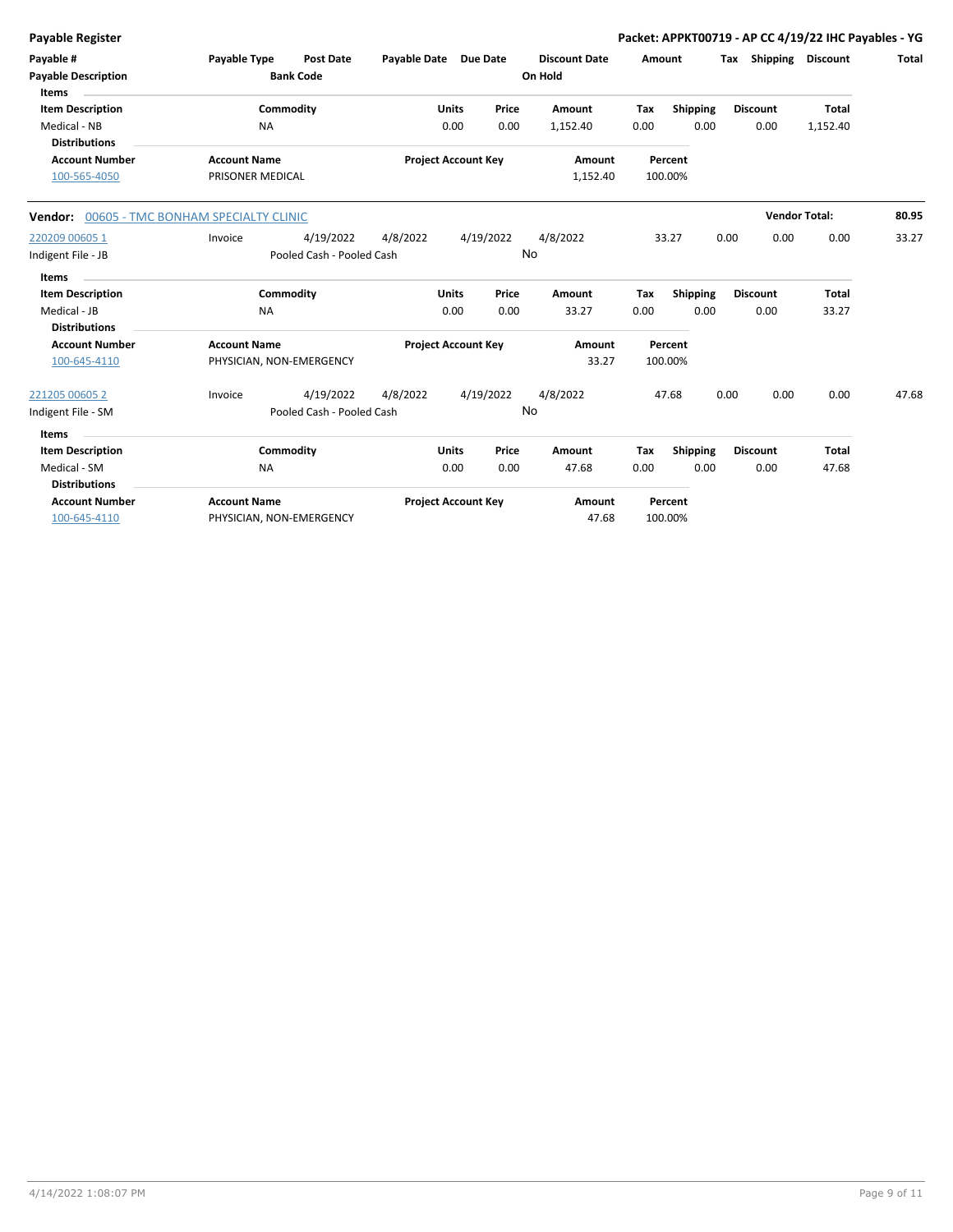| <b>Payable Register</b>                                         |                                         |                                        |                       |                            |               |                                 |             |                  |      |                         | Packet: APPKT00719 - AP CC 4/19/22 IHC Payables - YG |              |
|-----------------------------------------------------------------|-----------------------------------------|----------------------------------------|-----------------------|----------------------------|---------------|---------------------------------|-------------|------------------|------|-------------------------|------------------------------------------------------|--------------|
| Payable #<br><b>Payable Description</b><br><b>Items</b>         | Payable Type                            | <b>Post Date</b><br><b>Bank Code</b>   | Payable Date Due Date |                            |               | <b>Discount Date</b><br>On Hold | Amount      |                  |      | Tax Shipping Discount   |                                                      | <b>Total</b> |
| <b>Item Description</b><br>Medical - NB<br><b>Distributions</b> |                                         | Commodity<br><b>NA</b>                 |                       | <b>Units</b><br>0.00       | Price<br>0.00 | Amount<br>1,152.40              | Tax<br>0.00 | Shipping<br>0.00 |      | <b>Discount</b><br>0.00 | <b>Total</b><br>1,152.40                             |              |
| <b>Account Number</b><br>100-565-4050                           | <b>Account Name</b><br>PRISONER MEDICAL |                                        |                       | <b>Project Account Key</b> |               | Amount<br>1,152.40              | 100.00%     | Percent          |      |                         |                                                      |              |
| Vendor: 00605 - TMC BONHAM SPECIALTY CLINIC                     |                                         |                                        |                       |                            |               |                                 |             |                  |      | <b>Vendor Total:</b>    |                                                      | 80.95        |
| 220209 00605 1<br>Indigent File - JB                            | Invoice                                 | 4/19/2022<br>Pooled Cash - Pooled Cash | 4/8/2022              |                            | 4/19/2022     | 4/8/2022<br>No                  |             | 33.27            | 0.00 | 0.00                    | 0.00                                                 | 33.27        |
| <b>Items</b>                                                    |                                         |                                        |                       |                            |               |                                 |             |                  |      |                         |                                                      |              |
| <b>Item Description</b>                                         |                                         | Commodity                              |                       | <b>Units</b>               | Price         | Amount                          | Tax         | Shipping         |      | <b>Discount</b>         | <b>Total</b>                                         |              |
| Medical - JB<br><b>Distributions</b>                            |                                         | <b>NA</b>                              |                       | 0.00                       | 0.00          | 33.27                           | 0.00        | 0.00             |      | 0.00                    | 33.27                                                |              |
| <b>Account Number</b><br>100-645-4110                           | <b>Account Name</b>                     | PHYSICIAN, NON-EMERGENCY               |                       | <b>Project Account Key</b> |               | Amount<br>33.27                 | 100.00%     | Percent          |      |                         |                                                      |              |
| 221205 00605 2                                                  | Invoice                                 | 4/19/2022                              | 4/8/2022              |                            | 4/19/2022     | 4/8/2022                        |             | 47.68            | 0.00 | 0.00                    | 0.00                                                 | 47.68        |
| Indigent File - SM                                              |                                         | Pooled Cash - Pooled Cash              |                       |                            |               | No                              |             |                  |      |                         |                                                      |              |
| <b>Items</b>                                                    |                                         |                                        |                       |                            |               |                                 |             |                  |      |                         |                                                      |              |
| <b>Item Description</b>                                         |                                         | Commodity                              |                       | <b>Units</b>               | Price         | Amount                          | Tax         | <b>Shipping</b>  |      | <b>Discount</b>         | <b>Total</b>                                         |              |
| Medical - SM<br><b>Distributions</b>                            |                                         | NA                                     |                       | 0.00                       | 0.00          | 47.68                           | 0.00        | 0.00             |      | 0.00                    | 47.68                                                |              |
| <b>Account Number</b><br>100-645-4110                           | <b>Account Name</b>                     | PHYSICIAN, NON-EMERGENCY               |                       | <b>Project Account Key</b> |               | Amount<br>47.68                 | 100.00%     | Percent          |      |                         |                                                      |              |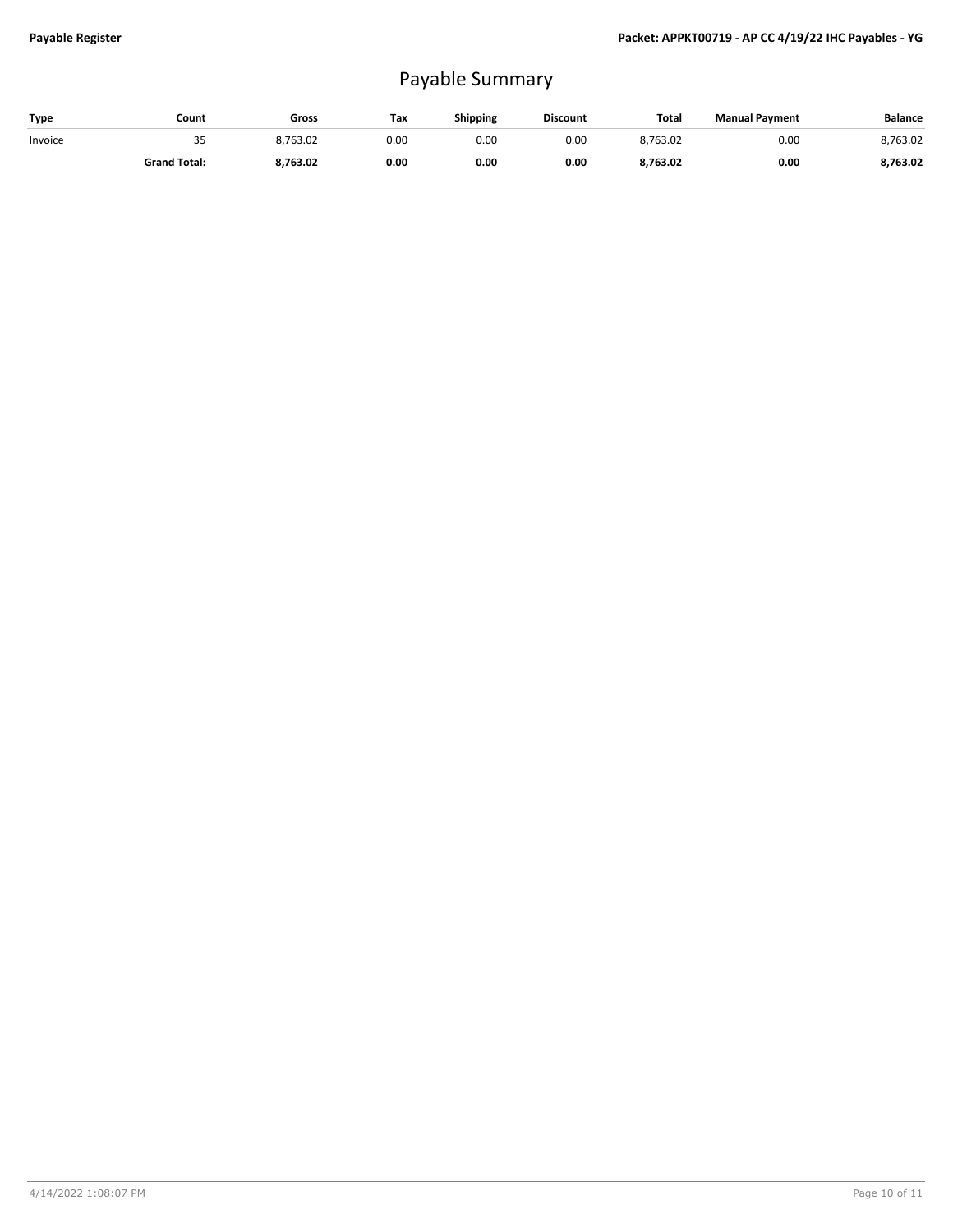## Payable Summary

| Type    | Count               | Gross    | Tax  | <b>Shipping</b> | <b>Discount</b> | Total    | <b>Manual Payment</b> | <b>Balance</b> |
|---------|---------------------|----------|------|-----------------|-----------------|----------|-----------------------|----------------|
| Invoice | رر                  | 8,763.02 | 0.00 | 0.00            | 0.00            | 8,763.02 | 0.00                  | 8.763.02       |
|         | <b>Grand Total:</b> | 8,763.02 | 0.00 | 0.00            | 0.00            | 8,763.02 | 0.00                  | 8,763.02       |